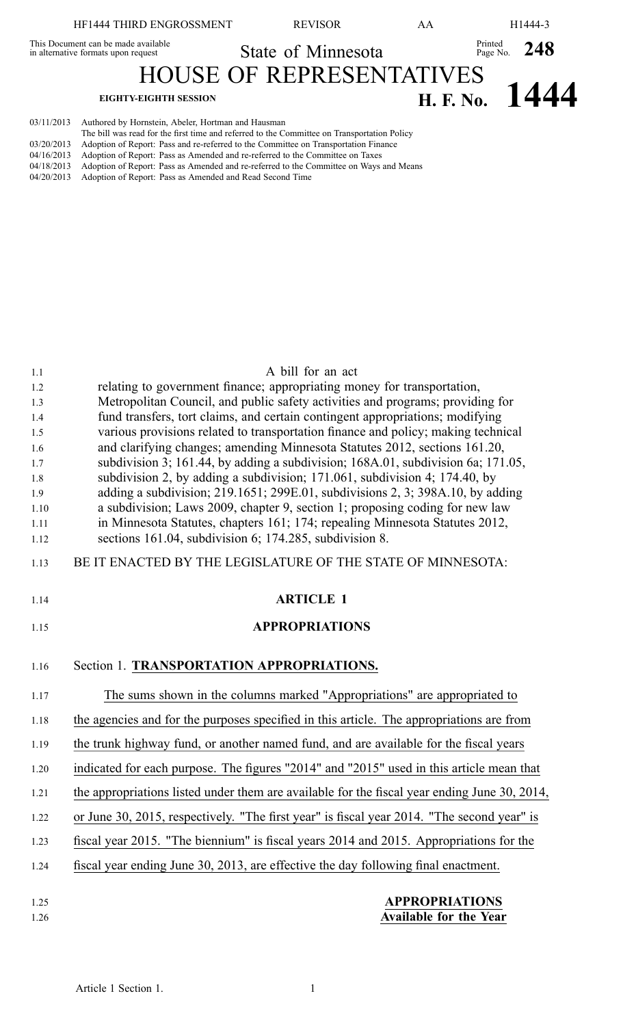| HF1444 THIRD ENGROSSMENT                                                   |                                                    | <b>REVISOR</b>                                                                                                                                                                     | AΑ |                        | H1444-3                           |
|----------------------------------------------------------------------------|----------------------------------------------------|------------------------------------------------------------------------------------------------------------------------------------------------------------------------------------|----|------------------------|-----------------------------------|
| This Document can be made available<br>in alternative formats upon request |                                                    | State of Minnesota                                                                                                                                                                 |    | Printed Page No. $248$ |                                   |
|                                                                            |                                                    | <b>HOUSE OF REPRESENTATIVES</b>                                                                                                                                                    |    |                        |                                   |
|                                                                            | <b>EIGHTY-EIGHTH SESSION</b>                       |                                                                                                                                                                                    |    |                        | $\frac{1}{\text{H. F. No.}}$ 1444 |
| 03/11/2013<br>02/20/2012                                                   | Authored by Hornstein, Abeler, Hortman and Hausman | The bill was read for the first time and referred to the Committee on Transportation Policy<br>Adoption of Depart: Dees and re-referred to the Committee on Trensportation Einenee |    |                        |                                   |

- 03/20/2013 Adoption of Report: Pass and re-referred to the Committee on Transportation Finance
- 04/16/2013 Adoption of Report: Pass as Amended and re-referred to the Committee on Taxes<br>04/18/2013 Adoption of Report: Pass as Amended and re-referred to the Committee on Ways
- Adoption of Report: Pass as Amended and re-referred to the Committee on Ways and Means
- 04/20/2013 Adoption of Report: Pass as Amended and Read Second Time

## 1.1 A bill for an act 1.2 relating to governmen<sup>t</sup> finance; appropriating money for transportation, 1.3 Metropolitan Council, and public safety activities and programs; providing for 1.4 fund transfers, tort claims, and certain contingent appropriations; modifying 1.5 various provisions related to transportation finance and policy; making technical 1.6 and clarifying changes; amending Minnesota Statutes 2012, sections 161.20, 1.7 subdivision 3; 161.44, by adding <sup>a</sup> subdivision; 168A.01, subdivision 6a; 171.05, 1.8 subdivision 2, by adding <sup>a</sup> subdivision; 171.061, subdivision 4; 174.40, by 1.9 adding <sup>a</sup> subdivision; 219.1651; 299E.01, subdivisions 2, 3; 398A.10, by adding 1.10 <sup>a</sup> subdivision; Laws 2009, chapter 9, section 1; proposing coding for new law 1.11 in Minnesota Statutes, chapters 161; 174; repealing Minnesota Statutes 2012, 1.12 sections 161.04, subdivision 6; 174.285, subdivision 8. 1.13 BE IT ENACTED BY THE LEGISLATURE OF THE STATE OF MINNESOTA: 1.14 **ARTICLE 1** 1.15 **APPROPRIATIONS** 1.16 Section 1. **TRANSPORTATION APPROPRIATIONS.** 1.17 The sums shown in the columns marked "Appropriations" are appropriated to 1.18 the agencies and for the purposes specified in this article. The appropriations are from 1.19 the trunk highway fund, or another named fund, and are available for the fiscal years 1.20 indicated for each purpose. The figures "2014" and "2015" used in this article mean that 1.21 the appropriations listed under them are available for the fiscal year ending June 30, 2014, 1.22 or June 30, 2015, respectively. "The first year" is fiscal year 2014. "The second year" is 1.23 fiscal year 2015. "The biennium" is fiscal years 2014 and 2015. Appropriations for the 1.24 fiscal year ending June 30, 2013, are effective the day following final enactment. 1.25 **APPROPRIATIONS** 1.26 **Available for the Year**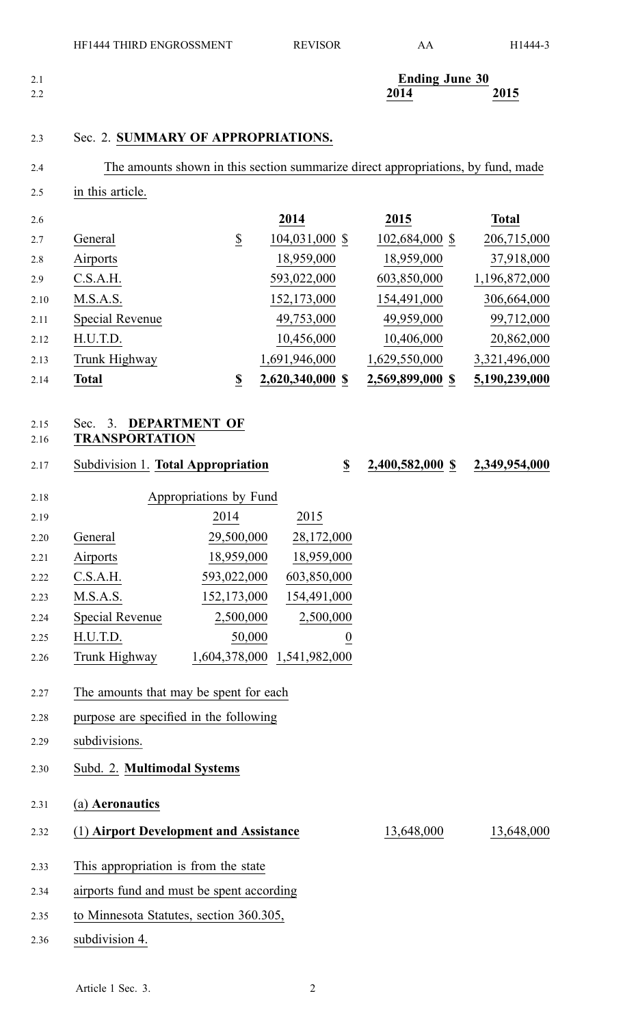| 2.1 | <b>Ending June 30</b> |                                         |
|-----|-----------------------|-----------------------------------------|
| 2.2 | 2014<br>______        | 2015<br>the contract of the contract of |

### 2.3 Sec. 2. **SUMMARY OF APPROPRIATIONS.**

|--|

2.5 in this article.

| 2.6  |                 |                          | 2014             | 2015             | <b>Total</b>  |
|------|-----------------|--------------------------|------------------|------------------|---------------|
| 2.7  | General         | $\overline{\mathcal{E}}$ | 104,031,000 \$   | 102,684,000 \$   | 206,715,000   |
| 2.8  | Airports        |                          | 18,959,000       | 18,959,000       | 37,918,000    |
| 2.9  | C.S.A.H.        |                          | 593,022,000      | 603,850,000      | 1,196,872,000 |
| 2.10 | M.S.A.S.        |                          | 152,173,000      | 154,491,000      | 306,664,000   |
| 2.11 | Special Revenue |                          | 49,753,000       | 49,959,000       | 99,712,000    |
| 2.12 | H.U.T.D.        |                          | 10,456,000       | 10,406,000       | 20,862,000    |
| 2.13 | Trunk Highway   |                          | 1,691,946,000    | 1,629,550,000    | 3,321,496,000 |
| 2.14 | <b>Total</b>    | \$                       | 2,620,340,000 \$ | 2,569,899,000 \$ | 5,190,239,000 |

## 2.15 Sec. 3. **DEPARTMENT OF**

## 2.16 **TRANSPORTATION**

2.17 Subdivision 1. **Total Appropriation \$ 2,400,582,000 \$ 2,349,954,000**

| 2.18 |                 | Appropriations by Fund |                  |
|------|-----------------|------------------------|------------------|
| 2.19 |                 | 2014                   | 2015             |
| 2.20 | General         | 29,500,000             | 28,172,000       |
| 2.21 | Airports        | 18,959,000             | 18,959,000       |
| 2.22 | C.S.A.H.        | 593,022,000            | 603,850,000      |
| 2.23 | M.S.A.S.        | 152,173,000            | 154,491,000      |
| 2.24 | Special Revenue | 2,500,000              | 2,500,000        |
| 2.25 | H.U.T.D.        | 50,000                 | $\boldsymbol{0}$ |
| 2.26 | Trunk Highway   | 1,604,378,000          | 1,541,982,000    |

# 2.27 The amounts that may be spen<sup>t</sup> for each

- 2.28 purpose are specified in the following
- 2.29 subdivisions.
- 2.30 Subd. 2. **Multimodal Systems**

2.31 (a) **Aeronautics**

2.32 (1) **Airport Development and Assistance** 13,648,000 13,648,000

- 2.33 This appropriation is from the state
- 2.34 airports fund and must be spen<sup>t</sup> according
- 2.35 to Minnesota Statutes, section 360.305,
- 2.36 subdivision 4.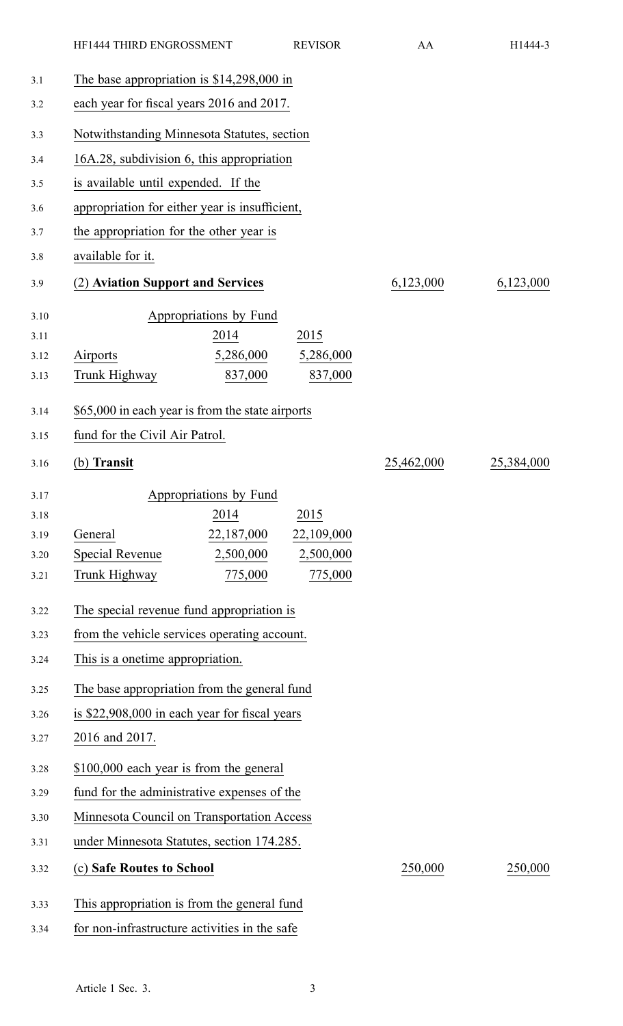|      | HF1444 THIRD ENGROSSMENT                         |                        | <b>REVISOR</b> | AA         | H1444-3    |
|------|--------------------------------------------------|------------------------|----------------|------------|------------|
| 3.1  | The base appropriation is $$14,298,000$ in       |                        |                |            |            |
| 3.2  | each year for fiscal years 2016 and 2017.        |                        |                |            |            |
| 3.3  | Notwithstanding Minnesota Statutes, section      |                        |                |            |            |
| 3.4  | 16A.28, subdivision 6, this appropriation        |                        |                |            |            |
| 3.5  | is available until expended. If the              |                        |                |            |            |
| 3.6  | appropriation for either year is insufficient,   |                        |                |            |            |
| 3.7  | the appropriation for the other year is          |                        |                |            |            |
| 3.8  | available for it.                                |                        |                |            |            |
| 3.9  | (2) Aviation Support and Services                |                        |                | 6,123,000  | 6,123,000  |
| 3.10 |                                                  | Appropriations by Fund |                |            |            |
| 3.11 |                                                  | 2014                   | 2015           |            |            |
| 3.12 | Airports                                         | 5,286,000              | 5,286,000      |            |            |
| 3.13 | Trunk Highway                                    | 837,000                | 837,000        |            |            |
| 3.14 | \$65,000 in each year is from the state airports |                        |                |            |            |
| 3.15 | fund for the Civil Air Patrol.                   |                        |                |            |            |
| 3.16 | (b) Transit                                      |                        |                | 25,462,000 | 25,384,000 |
| 3.17 |                                                  | Appropriations by Fund |                |            |            |
| 3.18 |                                                  | 2014                   | 2015           |            |            |
| 3.19 | General                                          | 22,187,000             | 22,109,000     |            |            |
| 3.20 | <b>Special Revenue</b>                           | 2,500,000              | 2,500,000      |            |            |
| 3.21 | Trunk Highway                                    | 775,000                | 775,000        |            |            |
| 3.22 | The special revenue fund appropriation is        |                        |                |            |            |
| 3.23 | from the vehicle services operating account.     |                        |                |            |            |
| 3.24 | This is a onetime appropriation.                 |                        |                |            |            |
| 3.25 | The base appropriation from the general fund     |                        |                |            |            |
| 3.26 | is \$22,908,000 in each year for fiscal years    |                        |                |            |            |
| 3.27 | 2016 and 2017.                                   |                        |                |            |            |
| 3.28 | \$100,000 each year is from the general          |                        |                |            |            |
| 3.29 | fund for the administrative expenses of the      |                        |                |            |            |
| 3.30 | Minnesota Council on Transportation Access       |                        |                |            |            |
| 3.31 | under Minnesota Statutes, section 174.285.       |                        |                |            |            |
| 3.32 | (c) Safe Routes to School                        |                        |                | 250,000    | 250,000    |
| 3.33 | This appropriation is from the general fund      |                        |                |            |            |
| 3.34 | for non-infrastructure activities in the safe    |                        |                |            |            |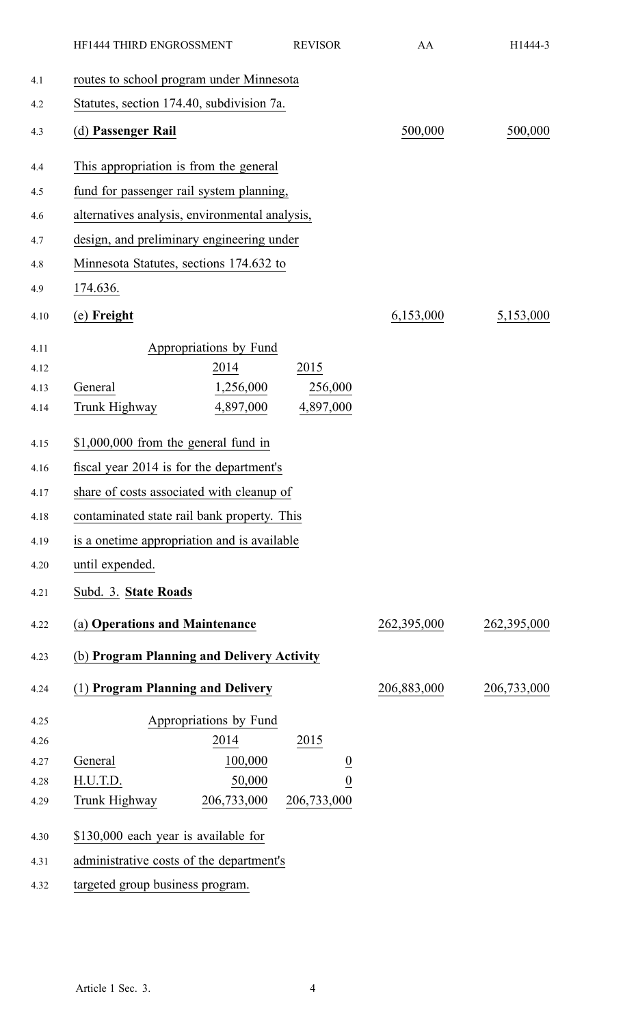|      | HF1444 THIRD ENGROSSMENT                       |                        | <b>REVISOR</b> | AA          | H1444-3     |
|------|------------------------------------------------|------------------------|----------------|-------------|-------------|
| 4.1  | routes to school program under Minnesota       |                        |                |             |             |
| 4.2  | Statutes, section 174.40, subdivision 7a.      |                        |                |             |             |
| 4.3  | (d) Passenger Rail                             |                        |                | 500,000     | 500,000     |
| 4.4  | This appropriation is from the general         |                        |                |             |             |
| 4.5  | fund for passenger rail system planning,       |                        |                |             |             |
| 4.6  | alternatives analysis, environmental analysis, |                        |                |             |             |
| 4.7  | design, and preliminary engineering under      |                        |                |             |             |
| 4.8  | Minnesota Statutes, sections 174.632 to        |                        |                |             |             |
| 4.9  | 174.636.                                       |                        |                |             |             |
| 4.10 | (e) Freight                                    |                        |                | 6,153,000   | 5,153,000   |
| 4.11 |                                                | Appropriations by Fund |                |             |             |
| 4.12 |                                                | 2014                   | 2015           |             |             |
| 4.13 | General                                        | 1,256,000              | 256,000        |             |             |
| 4.14 | Trunk Highway                                  | 4,897,000              | 4,897,000      |             |             |
| 4.15 | $$1,000,000$ from the general fund in          |                        |                |             |             |
| 4.16 | fiscal year 2014 is for the department's       |                        |                |             |             |
| 4.17 | share of costs associated with cleanup of      |                        |                |             |             |
| 4.18 | contaminated state rail bank property. This    |                        |                |             |             |
| 4.19 | is a onetime appropriation and is available    |                        |                |             |             |
| 4.20 | until expended.                                |                        |                |             |             |
| 4.21 | Subd. 3. State Roads                           |                        |                |             |             |
| 4.22 | (a) Operations and Maintenance                 |                        |                | 262,395,000 | 262,395,000 |
| 4.23 | (b) Program Planning and Delivery Activity     |                        |                |             |             |
| 4.24 | (1) Program Planning and Delivery              |                        |                | 206,883,000 | 206,733,000 |
| 4.25 |                                                | Appropriations by Fund |                |             |             |
| 4.26 |                                                | 2014                   | 2015           |             |             |
| 4.27 | General                                        | 100,000                |                |             |             |
| 4.28 | H.U.T.D.                                       | 50,000                 | $\frac{0}{0}$  |             |             |
| 4.29 | Trunk Highway                                  | 206,733,000            | 206,733,000    |             |             |
| 4.30 | \$130,000 each year is available for           |                        |                |             |             |
| 4.31 | administrative costs of the department's       |                        |                |             |             |
| 4.32 | targeted group business program.               |                        |                |             |             |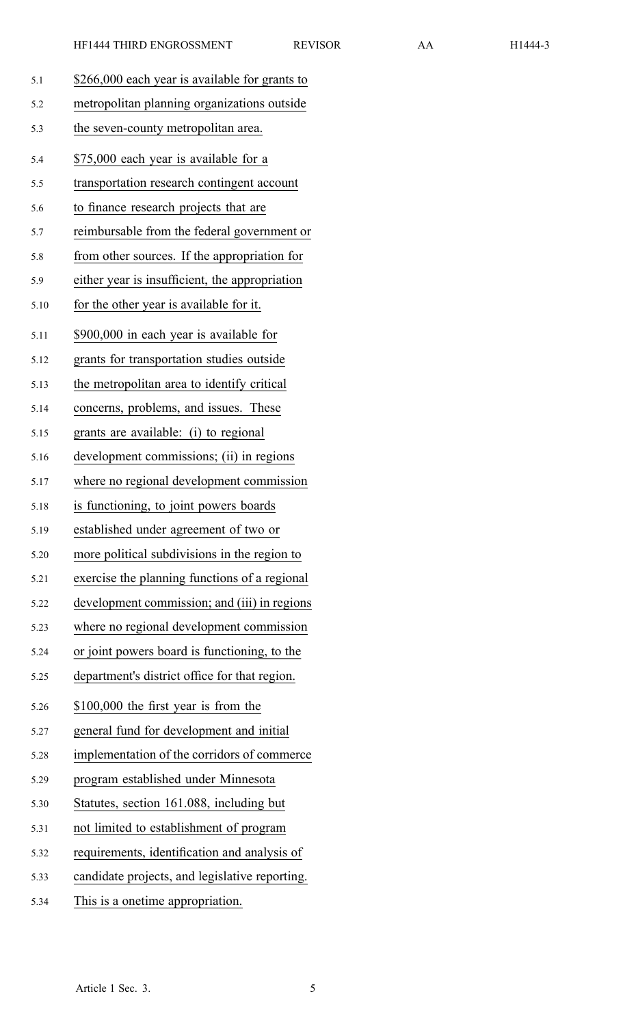| 5.1  | \$266,000 each year is available for grants to |
|------|------------------------------------------------|
| 5.2  | metropolitan planning organizations outside    |
| 5.3  | the seven-county metropolitan area.            |
| 5.4  | \$75,000 each year is available for a          |
| 5.5  | transportation research contingent account     |
| 5.6  | to finance research projects that are          |
| 5.7  | reimbursable from the federal government or    |
| 5.8  | from other sources. If the appropriation for   |
| 5.9  | either year is insufficient, the appropriation |
| 5.10 | for the other year is available for it.        |
| 5.11 | \$900,000 in each year is available for        |
| 5.12 | grants for transportation studies outside      |
| 5.13 | the metropolitan area to identify critical     |
| 5.14 | concerns, problems, and issues. These          |
| 5.15 | grants are available: (i) to regional          |
| 5.16 | development commissions; (ii) in regions       |
| 5.17 | where no regional development commission       |
| 5.18 | is functioning, to joint powers boards         |
| 5.19 | established under agreement of two or          |
| 5.20 | more political subdivisions in the region to   |
| 5.21 | exercise the planning functions of a regional  |
| 5.22 | development commission; and (iii) in regions   |
| 5.23 | where no regional development commission       |
| 5.24 | or joint powers board is functioning, to the   |
| 5.25 | department's district office for that region.  |
| 5.26 | \$100,000 the first year is from the           |
| 5.27 | general fund for development and initial       |
| 5.28 | implementation of the corridors of commerce    |
| 5.29 | program established under Minnesota            |
| 5.30 | Statutes, section 161.088, including but       |
| 5.31 | not limited to establishment of program        |
| 5.32 | requirements, identification and analysis of   |
| 5.33 | candidate projects, and legislative reporting. |
| 5.34 | This is a onetime appropriation.               |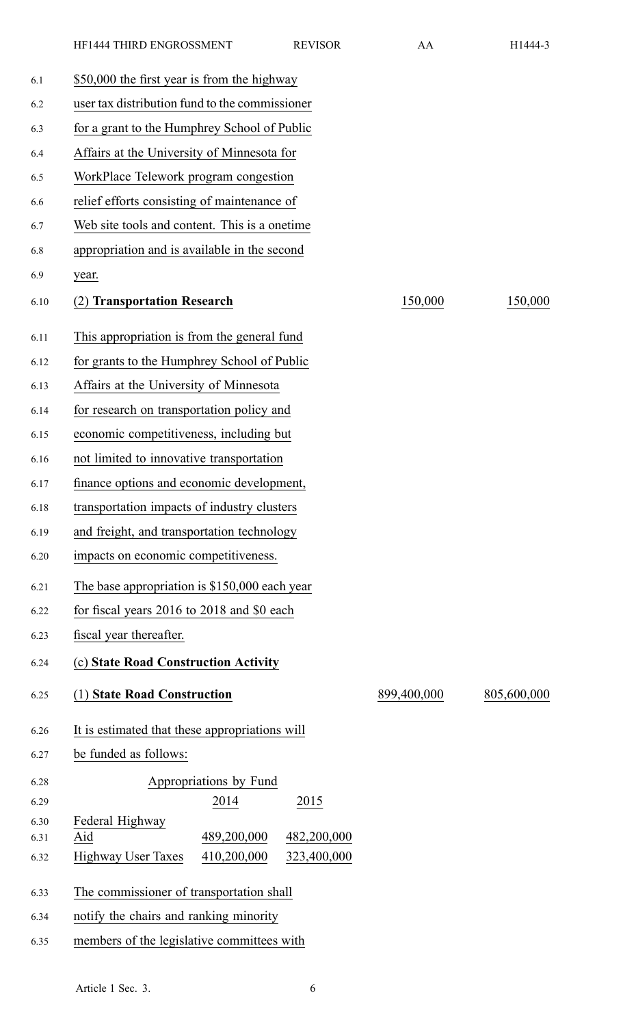|     | <b>HF1444 THIRD ENGROSSMENT</b>                | <b>REVISOR</b> | AA | H1444-3 |
|-----|------------------------------------------------|----------------|----|---------|
| 6.1 | \$50,000 the first year is from the highway    |                |    |         |
| 6.2 | user tax distribution fund to the commissioner |                |    |         |
| 6.3 | for a grant to the Humphrey School of Public   |                |    |         |
| 6.4 | Affairs at the University of Minnesota for     |                |    |         |
| 6.5 | WorkPlace Telework program congestion          |                |    |         |
| 6.6 | relief efforts consisting of maintenance of    |                |    |         |

6.7 Web site tools and content. This is <sup>a</sup> onetime

| 6.8          | appropriation and is available in the second            |             |             |  |  |
|--------------|---------------------------------------------------------|-------------|-------------|--|--|
| 6.9          | year.                                                   |             |             |  |  |
| 6.10         | (2) Transportation Research                             | 150,000     | 150,000     |  |  |
| 6.11         | This appropriation is from the general fund             |             |             |  |  |
| 6.12         | for grants to the Humphrey School of Public             |             |             |  |  |
| 6.13         | Affairs at the University of Minnesota                  |             |             |  |  |
| 6.14         | for research on transportation policy and               |             |             |  |  |
| 6.15         | economic competitiveness, including but                 |             |             |  |  |
| 6.16         | not limited to innovative transportation                |             |             |  |  |
| 6.17         | finance options and economic development,               |             |             |  |  |
| 6.18         | transportation impacts of industry clusters             |             |             |  |  |
| 6.19         | and freight, and transportation technology              |             |             |  |  |
| 6.20         | impacts on economic competitiveness.                    |             |             |  |  |
| 6.21         | The base appropriation is \$150,000 each year           |             |             |  |  |
| 6.22         | for fiscal years 2016 to 2018 and \$0 each              |             |             |  |  |
| 6.23         | fiscal year thereafter.                                 |             |             |  |  |
| 6.24         | (c) State Road Construction Activity                    |             |             |  |  |
| 6.25         | (1) State Road Construction                             | 899,400,000 | 805,600,000 |  |  |
| 6.26         | It is estimated that these appropriations will          |             |             |  |  |
| 6.27         | be funded as follows:                                   |             |             |  |  |
| 6.28         | Appropriations by Fund                                  |             |             |  |  |
| 6.29         | 2014<br>2015                                            |             |             |  |  |
| 6.30<br>6.31 | Federal Highway<br>489,200,000<br>Aid<br>482,200,000    |             |             |  |  |
| 6.32         | 410,200,000<br>323,400,000<br><b>Highway User Taxes</b> |             |             |  |  |
| 6.33         | The commissioner of transportation shall                |             |             |  |  |
| 6.34         | notify the chairs and ranking minority                  |             |             |  |  |

6.35 members of the legislative committees with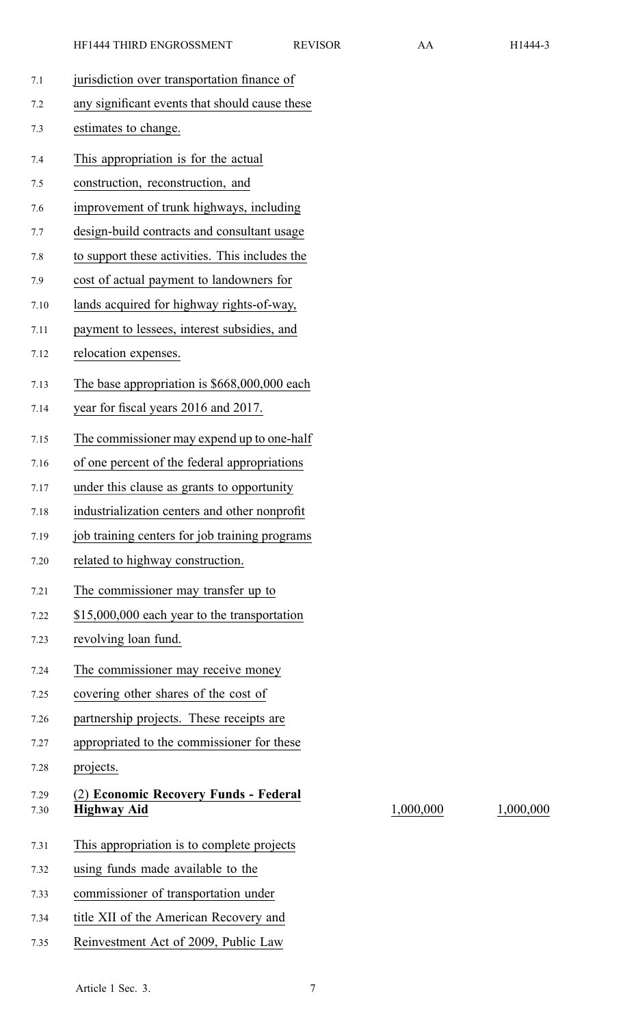| 7.1          | jurisdiction over transportation finance of                 |
|--------------|-------------------------------------------------------------|
| 7.2          | any significant events that should cause these              |
| 7.3          | estimates to change.                                        |
| 7.4          | This appropriation is for the actual                        |
| 7.5          | construction, reconstruction, and                           |
| 7.6          | improvement of trunk highways, including                    |
| 7.7          | design-build contracts and consultant usage                 |
| 7.8          | to support these activities. This includes the              |
| 7.9          | cost of actual payment to landowners for                    |
| 7.10         | lands acquired for highway rights-of-way,                   |
| 7.11         | payment to lessees, interest subsidies, and                 |
| 7.12         | relocation expenses.                                        |
| 7.13         | The base appropriation is \$668,000,000 each                |
| 7.14         | year for fiscal years 2016 and 2017.                        |
| 7.15         | The commissioner may expend up to one-half                  |
| 7.16         | of one percent of the federal appropriations                |
| 7.17         | under this clause as grants to opportunity                  |
| 7.18         | industrialization centers and other nonprofit               |
| 7.19         | job training centers for job training programs              |
| 7.20         | related to highway construction.                            |
| 7.21         | The commissioner may transfer up to                         |
| 7.22         | \$15,000,000 each year to the transportation                |
| 7.23         | revolving loan fund.                                        |
| 7.24         | The commissioner may receive money                          |
| 7.25         | covering other shares of the cost of                        |
| 7.26         | partnership projects. These receipts are                    |
| 7.27         | appropriated to the commissioner for these                  |
| 7.28         | projects.                                                   |
| 7.29<br>7.30 | (2) Economic Recovery Funds - Federal<br><b>Highway Aid</b> |
|              |                                                             |
| 7.31         | This appropriation is to complete projects                  |
| 7.32         | using funds made available to the                           |
| 7.33         | commissioner of transportation under                        |
| 7.34         | title XII of the American Recovery and                      |
| 7.35         | Reinvestment Act of 2009, Public Law                        |

7.30 **Highway Aid** 1,000,000 1,000,000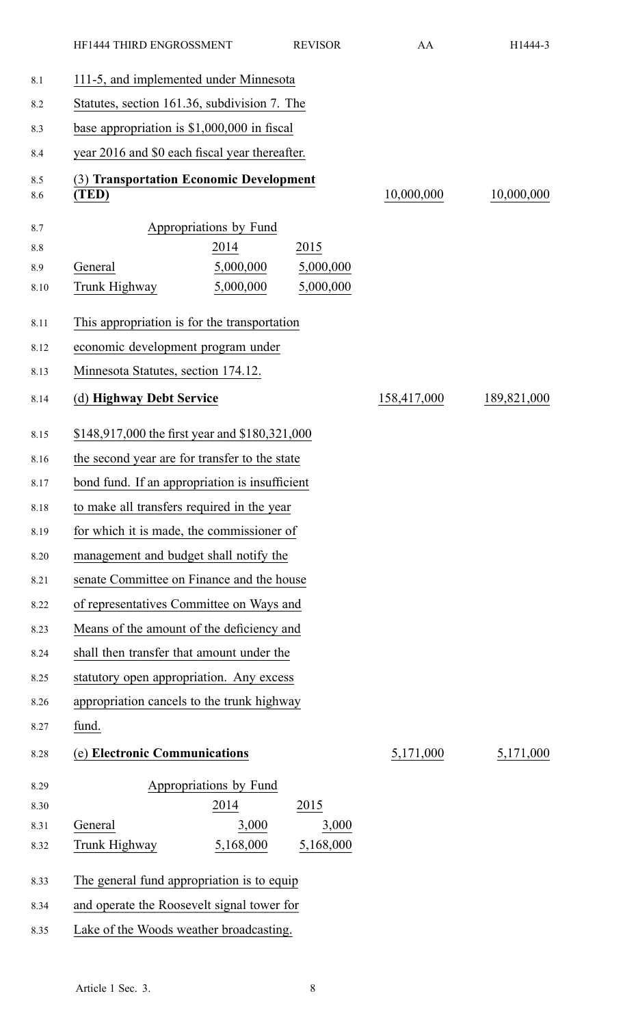|              | HF1444 THIRD ENGROSSMENT                         | <b>REVISOR</b> | AA          | H1444-3     |
|--------------|--------------------------------------------------|----------------|-------------|-------------|
| 8.1          | 111-5, and implemented under Minnesota           |                |             |             |
| 8.2          | Statutes, section 161.36, subdivision 7. The     |                |             |             |
| 8.3          | base appropriation is $$1,000,000$ in fiscal     |                |             |             |
| 8.4          | year 2016 and \$0 each fiscal year thereafter.   |                |             |             |
| 8.5<br>8.6   | (3) Transportation Economic Development<br>(TED) |                | 10,000,000  | 10,000,000  |
| 8.7          | Appropriations by Fund                           |                |             |             |
| 8.8          | 2014                                             | 2015           |             |             |
| 8.9          | 5,000,000<br>General                             | 5,000,000      |             |             |
| 8.10         | Trunk Highway<br>5,000,000                       | 5,000,000      |             |             |
| 8.11         | This appropriation is for the transportation     |                |             |             |
| 8.12         | economic development program under               |                |             |             |
| 8.13         | Minnesota Statutes, section 174.12.              |                |             |             |
| 8.14         | (d) Highway Debt Service                         |                | 158,417,000 | 189,821,000 |
| 8.15         | \$148,917,000 the first year and \$180,321,000   |                |             |             |
| 8.16         | the second year are for transfer to the state    |                |             |             |
| 8.17         | bond fund. If an appropriation is insufficient   |                |             |             |
| 8.18         | to make all transfers required in the year       |                |             |             |
| 8.19         | for which it is made, the commissioner of        |                |             |             |
| 8.20         | management and budget shall notify the           |                |             |             |
| 8.21         | senate Committee on Finance and the house        |                |             |             |
| 8.22         | of representatives Committee on Ways and         |                |             |             |
| 8.23         | Means of the amount of the deficiency and        |                |             |             |
| 8.24         | shall then transfer that amount under the        |                |             |             |
| 8.25         | statutory open appropriation. Any excess         |                |             |             |
| 8.26         | appropriation cancels to the trunk highway       |                |             |             |
| 8.27         | fund.                                            |                |             |             |
| 8.28         | (e) Electronic Communications                    |                | 5,171,000   | 5,171,000   |
|              |                                                  |                |             |             |
| 8.29         | Appropriations by Fund<br>2014                   | 2015           |             |             |
| 8.30<br>8.31 | General<br>3,000                                 | 3,000          |             |             |
| 8.32         | 5,168,000<br>Trunk Highway                       | 5,168,000      |             |             |
|              |                                                  |                |             |             |
| 8.33         | The general fund appropriation is to equip       |                |             |             |
| 8.34         | and operate the Roosevelt signal tower for       |                |             |             |
| 8.35         | Lake of the Woods weather broadcasting.          |                |             |             |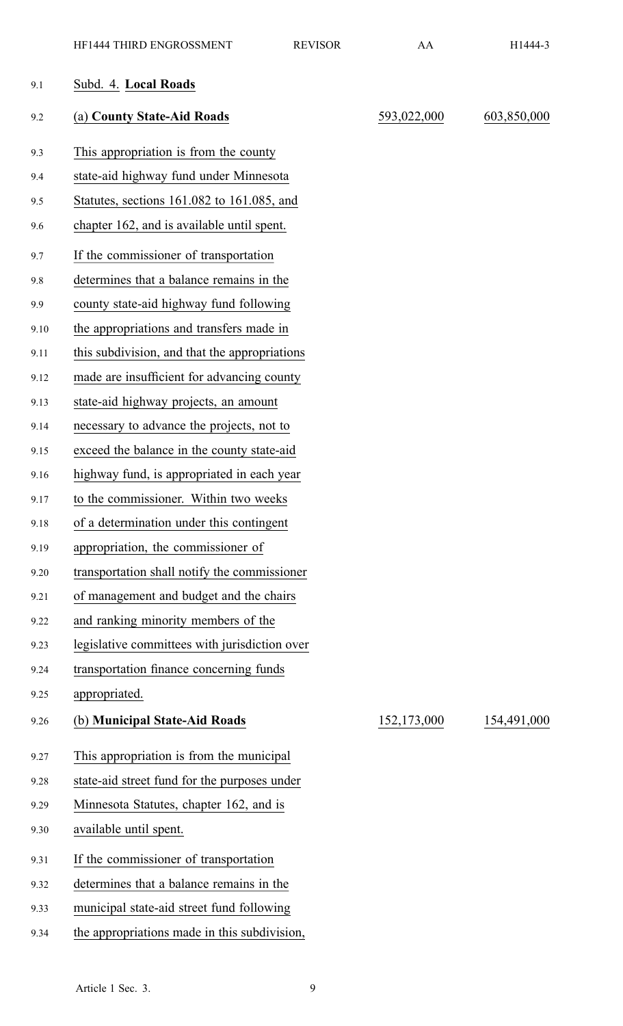| 9.1  | Subd. 4. Local Roads                          |             |             |
|------|-----------------------------------------------|-------------|-------------|
| 9.2  | (a) County State-Aid Roads                    | 593,022,000 | 603,850,000 |
| 9.3  | This appropriation is from the county         |             |             |
| 9.4  | state-aid highway fund under Minnesota        |             |             |
| 9.5  | Statutes, sections 161.082 to 161.085, and    |             |             |
| 9.6  | chapter 162, and is available until spent.    |             |             |
| 9.7  | If the commissioner of transportation         |             |             |
| 9.8  | determines that a balance remains in the      |             |             |
| 9.9  | county state-aid highway fund following       |             |             |
| 9.10 | the appropriations and transfers made in      |             |             |
| 9.11 | this subdivision, and that the appropriations |             |             |
| 9.12 | made are insufficient for advancing county    |             |             |
| 9.13 | state-aid highway projects, an amount         |             |             |
| 9.14 | necessary to advance the projects, not to     |             |             |
| 9.15 | exceed the balance in the county state-aid    |             |             |
| 9.16 | highway fund, is appropriated in each year    |             |             |
| 9.17 | to the commissioner. Within two weeks         |             |             |
| 9.18 | of a determination under this contingent      |             |             |
| 9.19 | appropriation, the commissioner of            |             |             |
| 9.20 | transportation shall notify the commissioner  |             |             |
| 9.21 | of management and budget and the chairs       |             |             |
| 9.22 | and ranking minority members of the           |             |             |
| 9.23 | legislative committees with jurisdiction over |             |             |
| 9.24 | transportation finance concerning funds       |             |             |
| 9.25 | appropriated.                                 |             |             |
| 9.26 | (b) Municipal State-Aid Roads                 | 152,173,000 | 154,491,000 |
| 9.27 | This appropriation is from the municipal      |             |             |
| 9.28 | state-aid street fund for the purposes under  |             |             |
| 9.29 | Minnesota Statutes, chapter 162, and is       |             |             |
| 9.30 | available until spent.                        |             |             |
| 9.31 | If the commissioner of transportation         |             |             |
| 9.32 | determines that a balance remains in the      |             |             |
| 9.33 | municipal state-aid street fund following     |             |             |
| 9.34 | the appropriations made in this subdivision,  |             |             |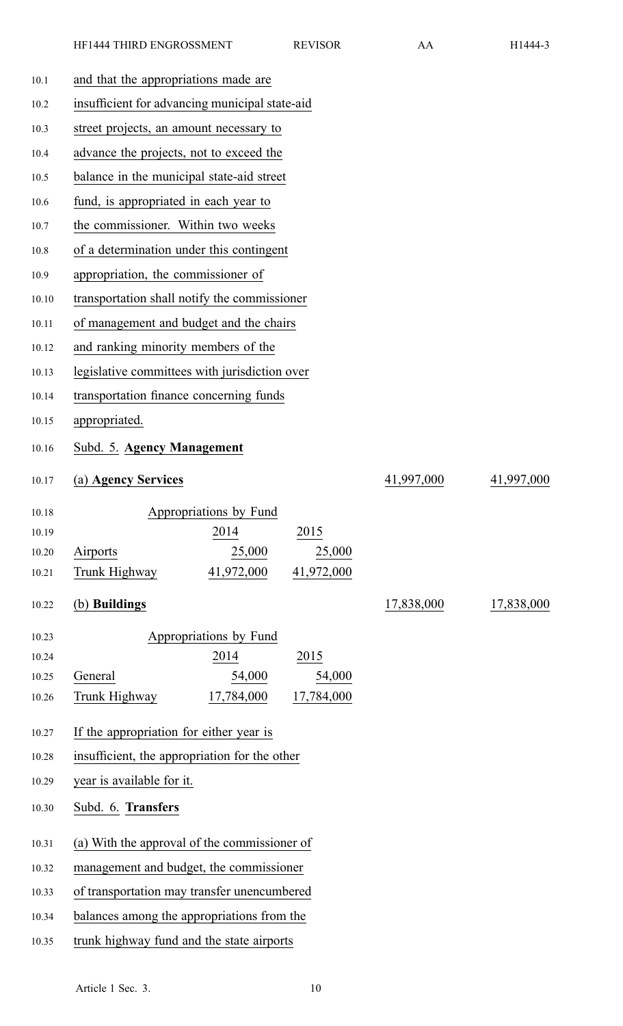| 10.1  | and that the appropriations made are           |                                           |            |            |            |
|-------|------------------------------------------------|-------------------------------------------|------------|------------|------------|
| 10.2  | insufficient for advancing municipal state-aid |                                           |            |            |            |
| 10.3  |                                                | street projects, an amount necessary to   |            |            |            |
| 10.4  | advance the projects, not to exceed the        |                                           |            |            |            |
| 10.5  |                                                | balance in the municipal state-aid street |            |            |            |
| 10.6  | fund, is appropriated in each year to          |                                           |            |            |            |
| 10.7  | the commissioner. Within two weeks             |                                           |            |            |            |
| 10.8  | of a determination under this contingent       |                                           |            |            |            |
| 10.9  | appropriation, the commissioner of             |                                           |            |            |            |
| 10.10 | transportation shall notify the commissioner   |                                           |            |            |            |
| 10.11 | of management and budget and the chairs        |                                           |            |            |            |
| 10.12 | and ranking minority members of the            |                                           |            |            |            |
| 10.13 | legislative committees with jurisdiction over  |                                           |            |            |            |
| 10.14 | transportation finance concerning funds        |                                           |            |            |            |
| 10.15 | appropriated.                                  |                                           |            |            |            |
| 10.16 | Subd. 5. Agency Management                     |                                           |            |            |            |
| 10.17 | (a) Agency Services                            |                                           |            | 41,997,000 | 41,997,000 |
| 10.18 | Appropriations by Fund                         |                                           |            |            |            |
| 10.19 | 2014                                           |                                           | 2015       |            |            |
| 10.20 | 25,000<br>Airports                             |                                           | 25,000     |            |            |
| 10.21 | 41,972,000<br>Trunk Highway                    |                                           | 41,972,000 |            |            |
| 10.22 | (b) Buildings                                  |                                           |            | 17,838,000 | 17,838,000 |
| 10.23 | Appropriations by Fund                         |                                           |            |            |            |
| 10.24 | 2014                                           |                                           | 2015       |            |            |
| 10.25 | 54,000<br>General                              |                                           | 54,000     |            |            |
| 10.26 | Trunk Highway<br>17,784,000                    |                                           | 17,784,000 |            |            |
| 10.27 | If the appropriation for either year is        |                                           |            |            |            |
| 10.28 | insufficient, the appropriation for the other  |                                           |            |            |            |
| 10.29 | year is available for it.                      |                                           |            |            |            |
| 10.30 | Subd. 6. Transfers                             |                                           |            |            |            |
| 10.31 | (a) With the approval of the commissioner of   |                                           |            |            |            |
| 10.32 | management and budget, the commissioner        |                                           |            |            |            |
| 10.33 | of transportation may transfer unencumbered    |                                           |            |            |            |
| 10.34 | balances among the appropriations from the     |                                           |            |            |            |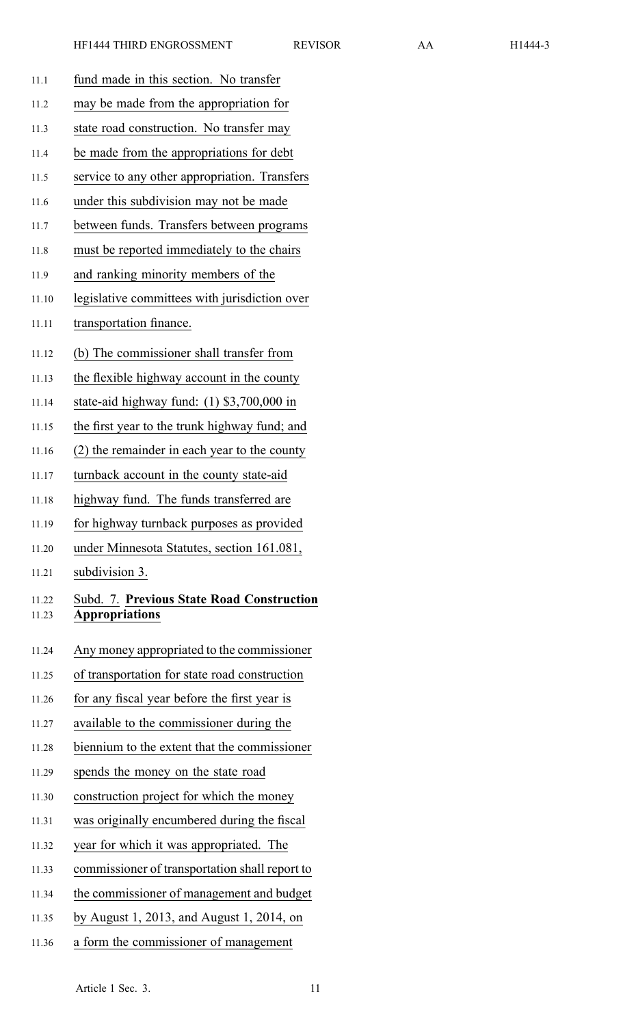| 11.1           | fund made in this section. No transfer                                    |
|----------------|---------------------------------------------------------------------------|
| 11.2           | may be made from the appropriation for                                    |
| 11.3           | state road construction. No transfer may                                  |
| 11.4           | be made from the appropriations for debt                                  |
| 11.5           | service to any other appropriation. Transfers                             |
| 11.6           | under this subdivision may not be made                                    |
| 11.7           | between funds. Transfers between programs                                 |
| 11.8           | must be reported immediately to the chairs                                |
| 11.9           | and ranking minority members of the                                       |
| 11.10          | legislative committees with jurisdiction over                             |
| 11.11          | transportation finance.                                                   |
| 11.12          | (b) The commissioner shall transfer from                                  |
| 11.13          | the flexible highway account in the county                                |
| 11.14          | state-aid highway fund: $(1)$ \$3,700,000 in                              |
| 11.15          | the first year to the trunk highway fund; and                             |
| 11.16          | (2) the remainder in each year to the county                              |
| 11.17          | turnback account in the county state-aid                                  |
| 11.18          | highway fund. The funds transferred are                                   |
| 11.19          | for highway turnback purposes as provided                                 |
| 11.20          | under Minnesota Statutes, section 161.081,                                |
| 11.21          | subdivision 3.                                                            |
| 11.22<br>11.23 | <b>Subd. 7. Previous State Road Construction</b><br><b>Appropriations</b> |
| 11.24          | Any money appropriated to the commissioner                                |
| 11.25          | of transportation for state road construction                             |
| 11.26          | for any fiscal year before the first year is                              |
| 11.27          | available to the commissioner during the                                  |
| 11.28          | biennium to the extent that the commissioner                              |
| 11.29          | spends the money on the state road                                        |
| 11.30          | construction project for which the money                                  |
| 11.31          | was originally encumbered during the fiscal                               |
| 11.32          | year for which it was appropriated. The                                   |
| 11.33          | commissioner of transportation shall report to                            |
| 11.34          | the commissioner of management and budget                                 |
| 11.35          | by August 1, 2013, and August 1, 2014, on                                 |
| 11.36          | a form the commissioner of management                                     |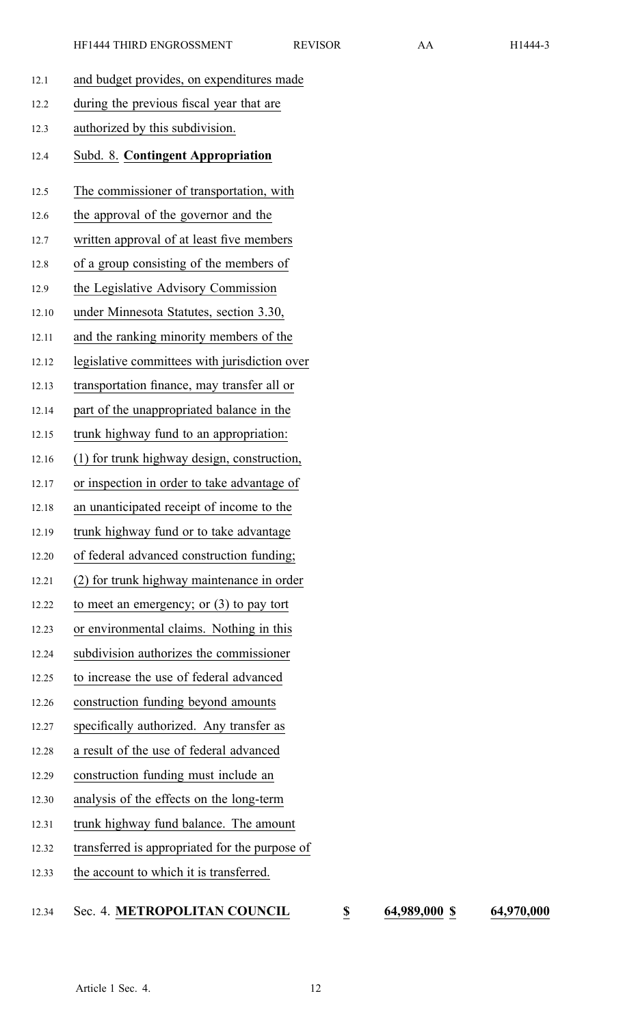| 12.1  | and budget provides, on expenditures made      |
|-------|------------------------------------------------|
| 12.2  | during the previous fiscal year that are       |
| 12.3  | authorized by this subdivision.                |
| 12.4  | Subd. 8. Contingent Appropriation              |
| 12.5  | The commissioner of transportation, with       |
| 12.6  | the approval of the governor and the           |
| 12.7  | written approval of at least five members      |
| 12.8  | of a group consisting of the members of        |
| 12.9  | the Legislative Advisory Commission            |
| 12.10 | under Minnesota Statutes, section 3.30,        |
| 12.11 | and the ranking minority members of the        |
| 12.12 | legislative committees with jurisdiction over  |
| 12.13 | transportation finance, may transfer all or    |
| 12.14 | part of the unappropriated balance in the      |
| 12.15 | trunk highway fund to an appropriation:        |
| 12.16 | (1) for trunk highway design, construction,    |
| 12.17 | or inspection in order to take advantage of    |
| 12.18 | an unanticipated receipt of income to the      |
| 12.19 | trunk highway fund or to take advantage        |
| 12.20 | of federal advanced construction funding;      |
| 12.21 | (2) for trunk highway maintenance in order     |
| 12.22 | to meet an emergency; or $(3)$ to pay tort     |
| 12.23 | or environmental claims. Nothing in this       |
| 12.24 | subdivision authorizes the commissioner        |
| 12.25 | to increase the use of federal advanced        |
| 12.26 | construction funding beyond amounts            |
| 12.27 | specifically authorized. Any transfer as       |
| 12.28 | a result of the use of federal advanced        |
| 12.29 | construction funding must include an           |
| 12.30 | analysis of the effects on the long-term       |
| 12.31 | trunk highway fund balance. The amount         |
| 12.32 | transferred is appropriated for the purpose of |
| 12.33 | the account to which it is transferred.        |

## 12.34 Sec. 4. **METROPOLITAN COUNCIL \$ 64,989,000 \$ 64,970,000**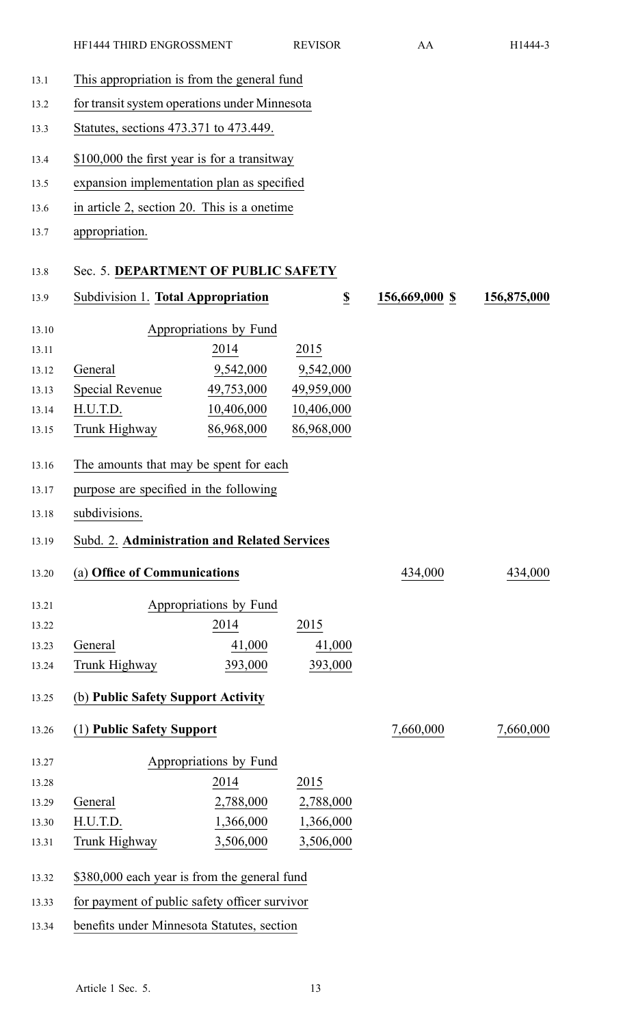- 13.1 This appropriation is from the general fund 13.2 for transit system operations under Minnesota 13.3 Statutes, sections 473.371 to 473.449. 13.4 \$100,000 the first year is for <sup>a</sup> transitway 13.5 expansion implementation plan as specified 13.6 in article 2, section 20. This is <sup>a</sup> onetime 13.7 appropriation. 13.8 Sec. 5. **DEPARTMENT OF PUBLIC SAFETY** 13.9 Subdivision 1. **Total Appropriation \$ 156,669,000 \$ 156,875,000** 13.10 Appropriations by Fund 13.11 2014 2015 13.12 General 9,542,000 9,542,000 13.13 Special Revenue 49,753,000 49,959,000 13.14 H.U.T.D. 10,406,000 10,406,000 13.15 Trunk Highway 86,968,000 86,968,000 13.16 The amounts that may be spen<sup>t</sup> for each 13.17 purpose are specified in the following 13.18 subdivisions. 13.19 Subd. 2. **Administration and Related Services** 13.20 (a) **Office of Communications** 434,000 434,000 13.21 Appropriations by Fund 13.22 2014 2015 13.23 General 41,000 41,000 13.24 Trunk Highway 393,000 393,000 13.25 (b) **Public Safety Support Activity** 13.26 (1) **Public Safety Support** 7,660,000 7,660,000 13.27 Appropriations by Fund 13.28 2014 2015 13.29 General 2,788,000 2,788,000 13.30 H.U.T.D. 1,366,000 1,366,000 13.31 Trunk Highway 3,506,000 3,506,000 13.32 \$380,000 each year is from the general fund 13.33 for paymen<sup>t</sup> of public safety officer survivor
	- 13.34 benefits under Minnesota Statutes, section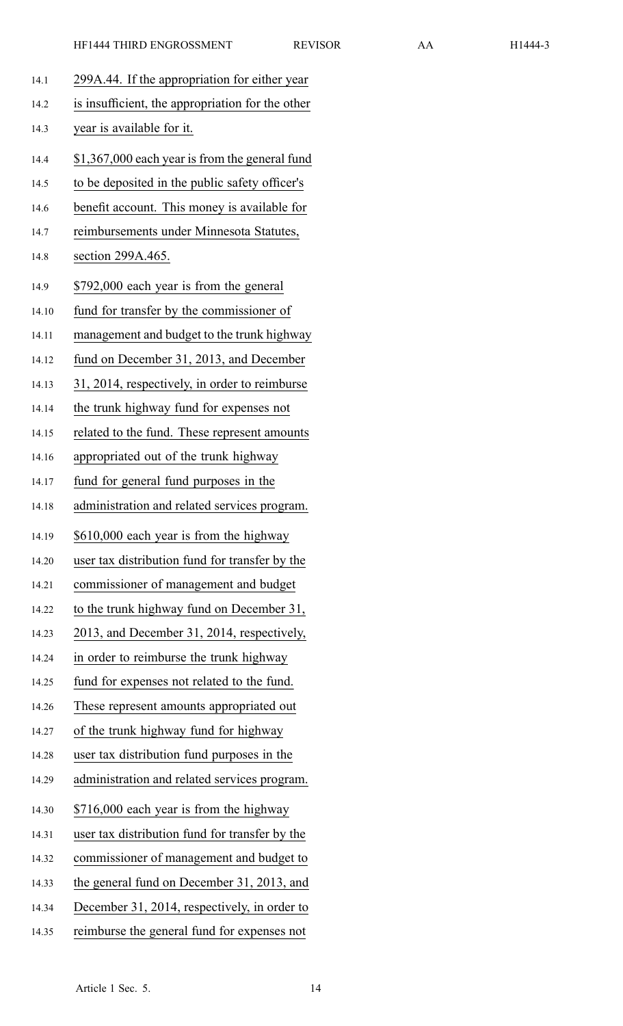| 14.1  | 299A.44. If the appropriation for either year    |
|-------|--------------------------------------------------|
| 14.2  | is insufficient, the appropriation for the other |
| 14.3  | year is available for it.                        |
| 14.4  | \$1,367,000 each year is from the general fund   |
| 14.5  | to be deposited in the public safety officer's   |
| 14.6  | benefit account. This money is available for     |
| 14.7  | reimbursements under Minnesota Statutes,         |
| 14.8  | section 299A.465.                                |
| 14.9  | \$792,000 each year is from the general          |
| 14.10 | fund for transfer by the commissioner of         |
| 14.11 | management and budget to the trunk highway       |
| 14.12 | fund on December 31, 2013, and December          |
| 14.13 | 31, 2014, respectively, in order to reimburse    |
| 14.14 | the trunk highway fund for expenses not          |
| 14.15 | related to the fund. These represent amounts     |
| 14.16 | appropriated out of the trunk highway            |
| 14.17 | fund for general fund purposes in the            |
| 14.18 | administration and related services program.     |
| 14.19 | \$610,000 each year is from the highway          |
| 14.20 | user tax distribution fund for transfer by the   |
| 14.21 | commissioner of management and budget            |
| 14.22 | to the trunk highway fund on December 31,        |
| 14.23 | 2013, and December 31, 2014, respectively,       |
| 14.24 | in order to reimburse the trunk highway          |
| 14.25 | fund for expenses not related to the fund.       |
| 14.26 | These represent amounts appropriated out         |
| 14.27 | of the trunk highway fund for highway            |
| 14.28 | user tax distribution fund purposes in the       |
| 14.29 | administration and related services program.     |
| 14.30 | \$716,000 each year is from the highway          |
| 14.31 | user tax distribution fund for transfer by the   |
| 14.32 | commissioner of management and budget to         |
| 14.33 | the general fund on December 31, 2013, and       |
| 14.34 | December 31, 2014, respectively, in order to     |
| 14.35 | reimburse the general fund for expenses not      |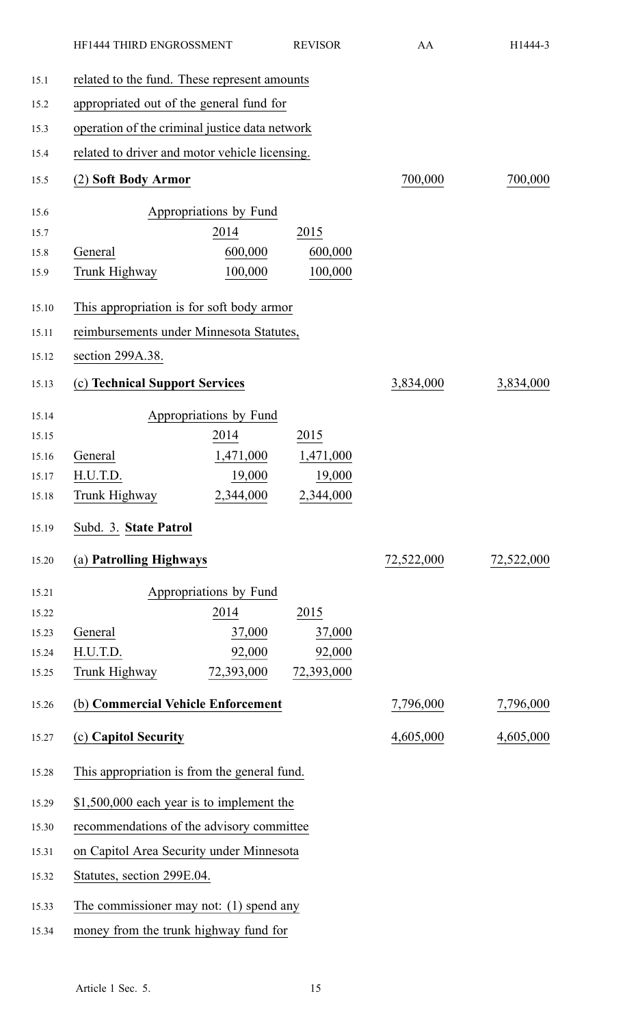|       | HF1444 THIRD ENGROSSMENT                       |                        | <b>REVISOR</b> | AA         | H1444-3    |
|-------|------------------------------------------------|------------------------|----------------|------------|------------|
| 15.1  | related to the fund. These represent amounts   |                        |                |            |            |
| 15.2  | appropriated out of the general fund for       |                        |                |            |            |
| 15.3  | operation of the criminal justice data network |                        |                |            |            |
| 15.4  | related to driver and motor vehicle licensing. |                        |                |            |            |
| 15.5  | (2) Soft Body Armor                            |                        |                | 700,000    | 700,000    |
| 15.6  |                                                | Appropriations by Fund |                |            |            |
| 15.7  |                                                | 2014                   | 2015           |            |            |
| 15.8  | General                                        | 600,000                | 600,000        |            |            |
| 15.9  | Trunk Highway                                  | 100,000                | 100,000        |            |            |
| 15.10 | This appropriation is for soft body armor      |                        |                |            |            |
| 15.11 | reimbursements under Minnesota Statutes,       |                        |                |            |            |
| 15.12 | section 299A.38.                               |                        |                |            |            |
| 15.13 | (c) Technical Support Services                 |                        |                | 3,834,000  | 3,834,000  |
| 15.14 |                                                | Appropriations by Fund |                |            |            |
| 15.15 |                                                | 2014                   | 2015           |            |            |
| 15.16 | General                                        | 1,471,000              | 1,471,000      |            |            |
| 15.17 | H.U.T.D.                                       | 19,000                 | 19,000         |            |            |
| 15.18 | Trunk Highway                                  | 2,344,000              | 2,344,000      |            |            |
| 15.19 | Subd. 3. State Patrol                          |                        |                |            |            |
| 15.20 | (a) Patrolling Highways                        |                        |                | 72,522,000 | 72,522,000 |
| 15.21 |                                                | Appropriations by Fund |                |            |            |
| 15.22 |                                                | 2014                   | 2015           |            |            |
| 15.23 | General                                        | 37,000                 | 37,000         |            |            |
| 15.24 | H.U.T.D.                                       | 92,000                 | 92,000         |            |            |
| 15.25 | Trunk Highway                                  | 72,393,000             | 72,393,000     |            |            |
| 15.26 | (b) Commercial Vehicle Enforcement             |                        |                | 7,796,000  | 7,796,000  |
| 15.27 | (c) Capitol Security                           |                        |                | 4,605,000  | 4,605,000  |
| 15.28 | This appropriation is from the general fund.   |                        |                |            |            |
| 15.29 | \$1,500,000 each year is to implement the      |                        |                |            |            |
| 15.30 | recommendations of the advisory committee      |                        |                |            |            |
| 15.31 | on Capitol Area Security under Minnesota       |                        |                |            |            |
| 15.32 | Statutes, section 299E.04.                     |                        |                |            |            |
| 15.33 | The commissioner may not: $(1)$ spend any      |                        |                |            |            |
| 15.34 | money from the trunk highway fund for          |                        |                |            |            |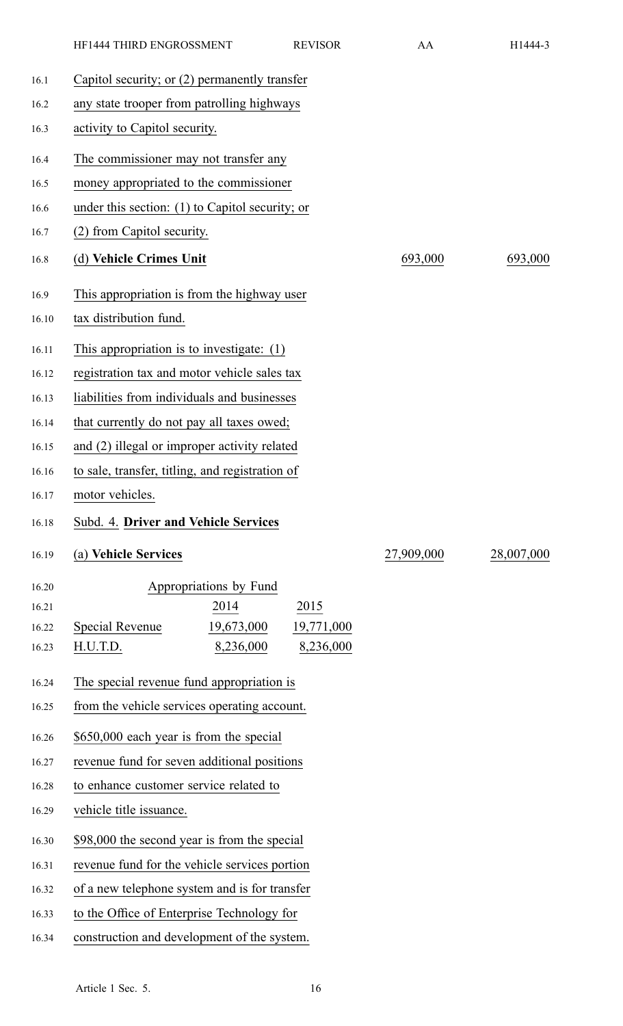|       | HF1444 THIRD ENGROSSMENT                          | <b>REVISOR</b>          | AA         | H1444-3    |
|-------|---------------------------------------------------|-------------------------|------------|------------|
| 16.1  | Capitol security; or (2) permanently transfer     |                         |            |            |
| 16.2  | any state trooper from patrolling highways        |                         |            |            |
| 16.3  | activity to Capitol security.                     |                         |            |            |
| 16.4  | The commissioner may not transfer any             |                         |            |            |
| 16.5  | money appropriated to the commissioner            |                         |            |            |
| 16.6  | under this section: $(1)$ to Capitol security; or |                         |            |            |
| 16.7  | (2) from Capitol security.                        |                         |            |            |
| 16.8  | (d) Vehicle Crimes Unit                           |                         | 693,000    | 693,000    |
| 16.9  | This appropriation is from the highway user       |                         |            |            |
| 16.10 | tax distribution fund.                            |                         |            |            |
| 16.11 | This appropriation is to investigate: $(1)$       |                         |            |            |
| 16.12 | registration tax and motor vehicle sales tax      |                         |            |            |
| 16.13 | liabilities from individuals and businesses       |                         |            |            |
| 16.14 | that currently do not pay all taxes owed;         |                         |            |            |
| 16.15 | and (2) illegal or improper activity related      |                         |            |            |
| 16.16 | to sale, transfer, titling, and registration of   |                         |            |            |
| 16.17 | motor vehicles.                                   |                         |            |            |
| 16.18 | Subd. 4. Driver and Vehicle Services              |                         |            |            |
| 16.19 | (a) Vehicle Services                              |                         | 27,909,000 | 28,007,000 |
| 16.20 | Appropriations by Fund                            |                         |            |            |
| 16.21 | 2014                                              | 2015                    |            |            |
| 16.22 | 19,673,000<br>Special Revenue<br>8,236,000        | 19,771,000<br>8,236,000 |            |            |
| 16.23 | H.U.T.D.                                          |                         |            |            |
| 16.24 | The special revenue fund appropriation is         |                         |            |            |
| 16.25 | from the vehicle services operating account.      |                         |            |            |
| 16.26 | \$650,000 each year is from the special           |                         |            |            |
| 16.27 | revenue fund for seven additional positions       |                         |            |            |
| 16.28 | to enhance customer service related to            |                         |            |            |
| 16.29 | vehicle title issuance.                           |                         |            |            |
| 16.30 | \$98,000 the second year is from the special      |                         |            |            |
| 16.31 | revenue fund for the vehicle services portion     |                         |            |            |
| 16.32 | of a new telephone system and is for transfer     |                         |            |            |
| 16.33 | to the Office of Enterprise Technology for        |                         |            |            |
| 16.34 | construction and development of the system.       |                         |            |            |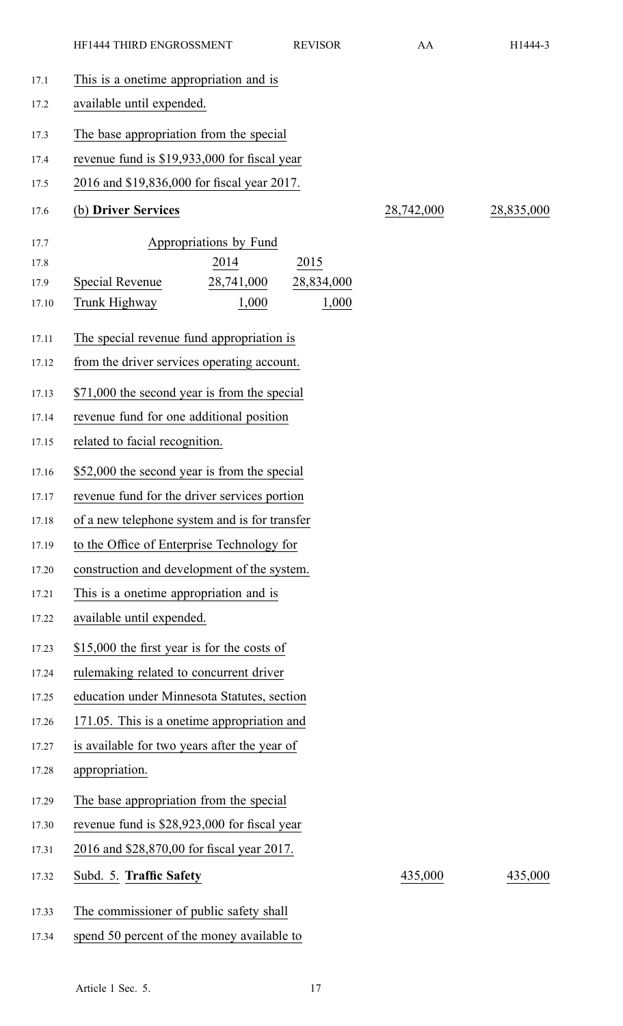|       | HF1444 THIRD ENGROSSMENT                      | <b>REVISOR</b> | AA         | H1444-3    |
|-------|-----------------------------------------------|----------------|------------|------------|
| 17.1  | This is a onetime appropriation and is        |                |            |            |
| 17.2  | available until expended.                     |                |            |            |
| 17.3  | The base appropriation from the special       |                |            |            |
| 17.4  | revenue fund is \$19,933,000 for fiscal year  |                |            |            |
| 17.5  | 2016 and \$19,836,000 for fiscal year 2017.   |                |            |            |
| 17.6  | (b) Driver Services                           |                | 28,742,000 | 28,835,000 |
| 17.7  | Appropriations by Fund                        |                |            |            |
| 17.8  | 2014                                          | 2015           |            |            |
| 17.9  | <b>Special Revenue</b><br>28,741,000          | 28,834,000     |            |            |
| 17.10 | Trunk Highway<br>1,000                        | 1,000          |            |            |
| 17.11 | The special revenue fund appropriation is     |                |            |            |
| 17.12 | from the driver services operating account.   |                |            |            |
| 17.13 | \$71,000 the second year is from the special  |                |            |            |
| 17.14 | revenue fund for one additional position      |                |            |            |
| 17.15 | related to facial recognition.                |                |            |            |
| 17.16 | \$52,000 the second year is from the special  |                |            |            |
| 17.17 | revenue fund for the driver services portion  |                |            |            |
| 17.18 | of a new telephone system and is for transfer |                |            |            |
| 17.19 | to the Office of Enterprise Technology for    |                |            |            |
| 17.20 | construction and development of the system.   |                |            |            |
| 17.21 | This is a onetime appropriation and is        |                |            |            |
| 17.22 | available until expended.                     |                |            |            |
| 17.23 | \$15,000 the first year is for the costs of   |                |            |            |
| 17.24 | rulemaking related to concurrent driver       |                |            |            |
| 17.25 | education under Minnesota Statutes, section   |                |            |            |
| 17.26 | 171.05. This is a onetime appropriation and   |                |            |            |
| 17.27 | is available for two years after the year of  |                |            |            |
| 17.28 | appropriation.                                |                |            |            |
| 17.29 | The base appropriation from the special       |                |            |            |
| 17.30 | revenue fund is \$28,923,000 for fiscal year  |                |            |            |
| 17.31 | 2016 and \$28,870,00 for fiscal year 2017.    |                |            |            |
| 17.32 | Subd. 5. Traffic Safety                       |                | 435,000    | 435,000    |
| 17.33 | The commissioner of public safety shall       |                |            |            |
| 17.34 | spend 50 percent of the money available to    |                |            |            |
|       |                                               |                |            |            |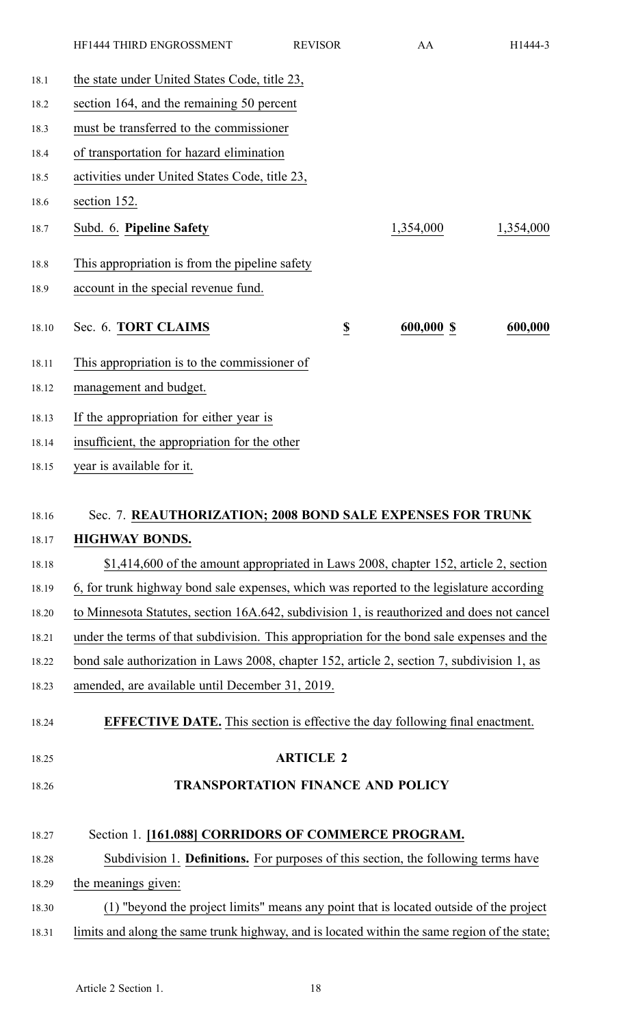|       | HF1444 THIRD ENGROSSMENT                                                                     | <b>REVISOR</b>          | AA         | H1444-3   |
|-------|----------------------------------------------------------------------------------------------|-------------------------|------------|-----------|
| 18.1  | the state under United States Code, title 23,                                                |                         |            |           |
| 18.2  | section 164, and the remaining 50 percent                                                    |                         |            |           |
| 18.3  | must be transferred to the commissioner                                                      |                         |            |           |
| 18.4  | of transportation for hazard elimination                                                     |                         |            |           |
| 18.5  | activities under United States Code, title 23,                                               |                         |            |           |
| 18.6  | section 152.                                                                                 |                         |            |           |
| 18.7  | Subd. 6. Pipeline Safety                                                                     |                         | 1,354,000  | 1,354,000 |
| 18.8  | This appropriation is from the pipeline safety                                               |                         |            |           |
| 18.9  | account in the special revenue fund.                                                         |                         |            |           |
| 18.10 | Sec. 6. TORT CLAIMS                                                                          | $\overline{\mathbf{z}}$ | 600,000 \$ | 600,000   |
| 18.11 | This appropriation is to the commissioner of                                                 |                         |            |           |
| 18.12 | management and budget.                                                                       |                         |            |           |
| 18.13 | If the appropriation for either year is                                                      |                         |            |           |
| 18.14 | insufficient, the appropriation for the other                                                |                         |            |           |
| 18.15 | year is available for it.                                                                    |                         |            |           |
|       |                                                                                              |                         |            |           |
| 18.16 | Sec. 7. REAUTHORIZATION; 2008 BOND SALE EXPENSES FOR TRUNK                                   |                         |            |           |
| 18.17 | <b>HIGHWAY BONDS.</b>                                                                        |                         |            |           |
| 18.18 | \$1,414,600 of the amount appropriated in Laws 2008, chapter 152, article 2, section         |                         |            |           |
| 18.19 | 6, for trunk highway bond sale expenses, which was reported to the legislature according     |                         |            |           |
| 18.20 | to Minnesota Statutes, section 16A.642, subdivision 1, is reauthorized and does not cancel   |                         |            |           |
| 18.21 | under the terms of that subdivision. This appropriation for the bond sale expenses and the   |                         |            |           |
| 18.22 | bond sale authorization in Laws 2008, chapter 152, article 2, section 7, subdivision 1, as   |                         |            |           |
| 18.23 | amended, are available until December 31, 2019.                                              |                         |            |           |
| 18.24 | <b>EFFECTIVE DATE.</b> This section is effective the day following final enactment.          |                         |            |           |
| 18.25 |                                                                                              | <b>ARTICLE 2</b>        |            |           |
| 18.26 | <b>TRANSPORTATION FINANCE AND POLICY</b>                                                     |                         |            |           |
|       |                                                                                              |                         |            |           |
| 18.27 | Section 1. [161.088] CORRIDORS OF COMMERCE PROGRAM.                                          |                         |            |           |
| 18.28 | Subdivision 1. Definitions. For purposes of this section, the following terms have           |                         |            |           |
| 18.29 | the meanings given:                                                                          |                         |            |           |
| 18.30 | (1) "beyond the project limits" means any point that is located outside of the project       |                         |            |           |
| 18.31 | limits and along the same trunk highway, and is located within the same region of the state; |                         |            |           |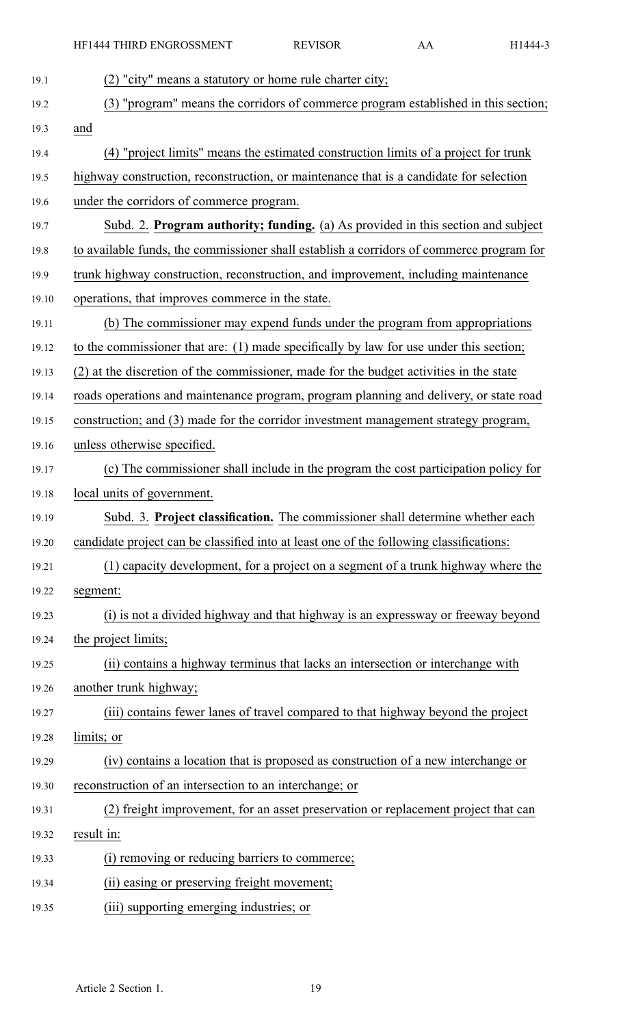| 19.1  | (2) "city" means a statutory or home rule charter city;                                  |
|-------|------------------------------------------------------------------------------------------|
| 19.2  | (3) "program" means the corridors of commerce program established in this section;       |
| 19.3  | and                                                                                      |
| 19.4  | (4) "project limits" means the estimated construction limits of a project for trunk      |
| 19.5  | highway construction, reconstruction, or maintenance that is a candidate for selection   |
| 19.6  | under the corridors of commerce program.                                                 |
| 19.7  | Subd. 2. Program authority; funding. (a) As provided in this section and subject         |
| 19.8  | to available funds, the commissioner shall establish a corridors of commerce program for |
| 19.9  | trunk highway construction, reconstruction, and improvement, including maintenance       |
| 19.10 | operations, that improves commerce in the state.                                         |
| 19.11 | (b) The commissioner may expend funds under the program from appropriations              |
| 19.12 | to the commissioner that are: (1) made specifically by law for use under this section;   |
| 19.13 | (2) at the discretion of the commissioner, made for the budget activities in the state   |
| 19.14 | roads operations and maintenance program, program planning and delivery, or state road   |
| 19.15 | construction; and (3) made for the corridor investment management strategy program,      |
| 19.16 | unless otherwise specified.                                                              |
| 19.17 | (c) The commissioner shall include in the program the cost participation policy for      |
| 19.18 | local units of government.                                                               |
| 19.19 | Subd. 3. Project classification. The commissioner shall determine whether each           |
| 19.20 | candidate project can be classified into at least one of the following classifications:  |
| 19.21 | (1) capacity development, for a project on a segment of a trunk highway where the        |
| 19.22 | segment:                                                                                 |
| 19.23 | (i) is not a divided highway and that highway is an expressway or freeway beyond         |
| 19.24 | the project limits;                                                                      |
| 19.25 | (ii) contains a highway terminus that lacks an intersection or interchange with          |
| 19.26 | another trunk highway;                                                                   |
| 19.27 | (iii) contains fewer lanes of travel compared to that highway beyond the project         |
| 19.28 | limits; or                                                                               |
| 19.29 | (iv) contains a location that is proposed as construction of a new interchange or        |
| 19.30 | reconstruction of an intersection to an interchange; or                                  |
| 19.31 | (2) freight improvement, for an asset preservation or replacement project that can       |
| 19.32 | result in:                                                                               |
| 19.33 | (i) removing or reducing barriers to commerce;                                           |
| 19.34 | (ii) easing or preserving freight movement;                                              |
| 19.35 | (iii) supporting emerging industries; or                                                 |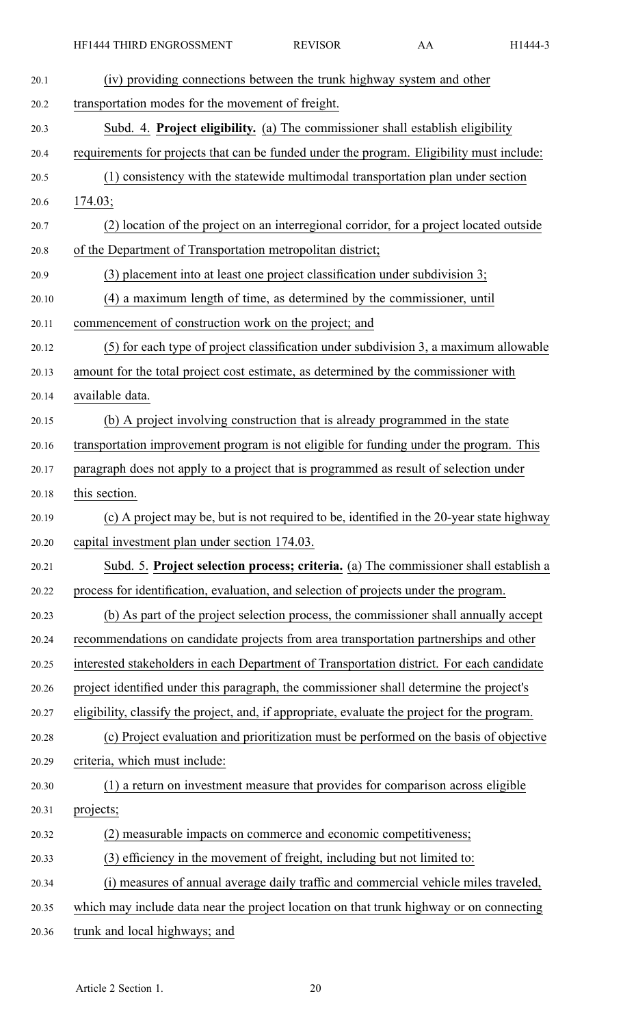HF1444 THIRD ENGROSSMENT REVISOR AA H1444-3

| 20.1  | (iv) providing connections between the trunk highway system and other                         |
|-------|-----------------------------------------------------------------------------------------------|
| 20.2  | transportation modes for the movement of freight.                                             |
| 20.3  | Subd. 4. Project eligibility. (a) The commissioner shall establish eligibility                |
| 20.4  | requirements for projects that can be funded under the program. Eligibility must include:     |
| 20.5  | (1) consistency with the statewide multimodal transportation plan under section               |
| 20.6  | 174.03;                                                                                       |
| 20.7  | (2) location of the project on an interregional corridor, for a project located outside       |
| 20.8  | of the Department of Transportation metropolitan district;                                    |
| 20.9  | (3) placement into at least one project classification under subdivision 3;                   |
| 20.10 | (4) a maximum length of time, as determined by the commissioner, until                        |
| 20.11 | commencement of construction work on the project; and                                         |
| 20.12 | (5) for each type of project classification under subdivision 3, a maximum allowable          |
| 20.13 | amount for the total project cost estimate, as determined by the commissioner with            |
| 20.14 | available data.                                                                               |
| 20.15 | (b) A project involving construction that is already programmed in the state                  |
| 20.16 | transportation improvement program is not eligible for funding under the program. This        |
| 20.17 | paragraph does not apply to a project that is programmed as result of selection under         |
| 20.18 | this section.                                                                                 |
| 20.19 | (c) A project may be, but is not required to be, identified in the 20-year state highway      |
| 20.20 | capital investment plan under section 174.03.                                                 |
| 20.21 | Subd. 5. Project selection process; criteria. (a) The commissioner shall establish a          |
| 20.22 | process for identification, evaluation, and selection of projects under the program.          |
| 20.23 | (b) As part of the project selection process, the commissioner shall annually accept          |
| 20.24 | recommendations on candidate projects from area transportation partnerships and other         |
| 20.25 | interested stakeholders in each Department of Transportation district. For each candidate     |
| 20.26 | project identified under this paragraph, the commissioner shall determine the project's       |
| 20.27 | eligibility, classify the project, and, if appropriate, evaluate the project for the program. |
| 20.28 | (c) Project evaluation and prioritization must be performed on the basis of objective         |
| 20.29 | criteria, which must include:                                                                 |
| 20.30 | (1) a return on investment measure that provides for comparison across eligible               |
| 20.31 | projects;                                                                                     |
| 20.32 | (2) measurable impacts on commerce and economic competitiveness;                              |
| 20.33 | (3) efficiency in the movement of freight, including but not limited to:                      |
| 20.34 | (i) measures of annual average daily traffic and commercial vehicle miles traveled,           |
| 20.35 |                                                                                               |
|       | which may include data near the project location on that trunk highway or on connecting       |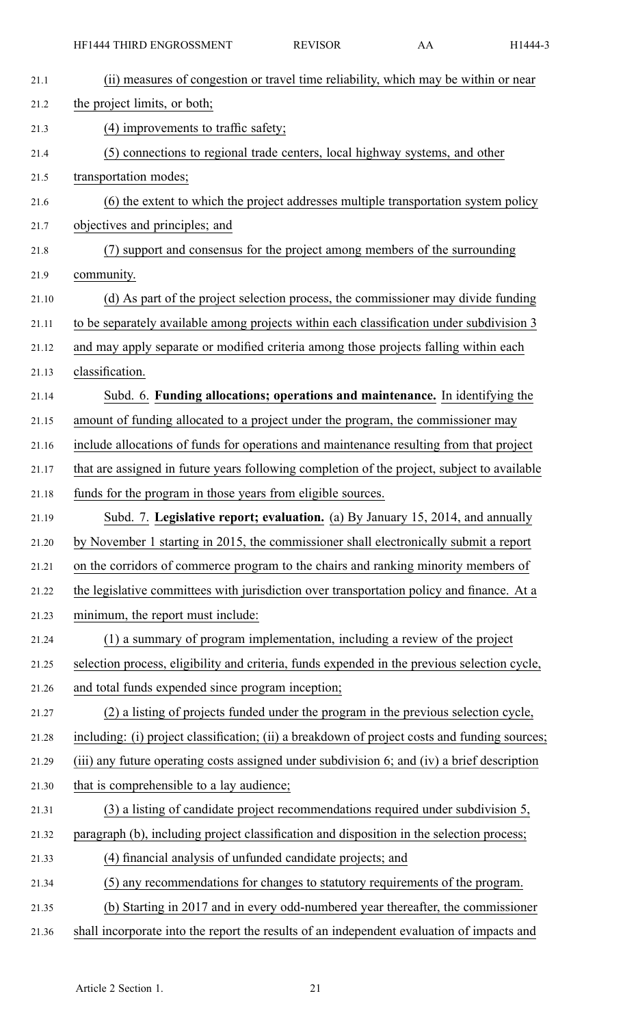| 21.1  | (ii) measures of congestion or travel time reliability, which may be within or near           |
|-------|-----------------------------------------------------------------------------------------------|
| 21.2  | the project limits, or both;                                                                  |
| 21.3  | (4) improvements to traffic safety;                                                           |
| 21.4  | (5) connections to regional trade centers, local highway systems, and other                   |
| 21.5  | transportation modes;                                                                         |
| 21.6  | (6) the extent to which the project addresses multiple transportation system policy           |
| 21.7  | objectives and principles; and                                                                |
| 21.8  | (7) support and consensus for the project among members of the surrounding                    |
| 21.9  | community.                                                                                    |
| 21.10 | (d) As part of the project selection process, the commissioner may divide funding             |
| 21.11 | to be separately available among projects within each classification under subdivision 3      |
| 21.12 | and may apply separate or modified criteria among those projects falling within each          |
| 21.13 | classification.                                                                               |
| 21.14 | Subd. 6. Funding allocations; operations and maintenance. In identifying the                  |
| 21.15 | amount of funding allocated to a project under the program, the commissioner may              |
| 21.16 | include allocations of funds for operations and maintenance resulting from that project       |
| 21.17 | that are assigned in future years following completion of the project, subject to available   |
| 21.18 | funds for the program in those years from eligible sources.                                   |
| 21.19 | Subd. 7. Legislative report; evaluation. (a) By January 15, 2014, and annually                |
| 21.20 | by November 1 starting in 2015, the commissioner shall electronically submit a report         |
| 21.21 | on the corridors of commerce program to the chairs and ranking minority members of            |
| 21.22 | the legislative committees with jurisdiction over transportation policy and finance. At a     |
| 21.23 | minimum, the report must include:                                                             |
| 21.24 | (1) a summary of program implementation, including a review of the project                    |
| 21.25 | selection process, eligibility and criteria, funds expended in the previous selection cycle,  |
| 21.26 |                                                                                               |
|       | and total funds expended since program inception;                                             |
| 21.27 | (2) a listing of projects funded under the program in the previous selection cycle,           |
| 21.28 | including: (i) project classification; (ii) a breakdown of project costs and funding sources; |
| 21.29 | (iii) any future operating costs assigned under subdivision 6; and (iv) a brief description   |
| 21.30 | that is comprehensible to a lay audience;                                                     |
| 21.31 | (3) a listing of candidate project recommendations required under subdivision 5,              |
| 21.32 | paragraph (b), including project classification and disposition in the selection process;     |
| 21.33 | (4) financial analysis of unfunded candidate projects; and                                    |
| 21.34 | (5) any recommendations for changes to statutory requirements of the program.                 |
| 21.35 | (b) Starting in 2017 and in every odd-numbered year thereafter, the commissioner              |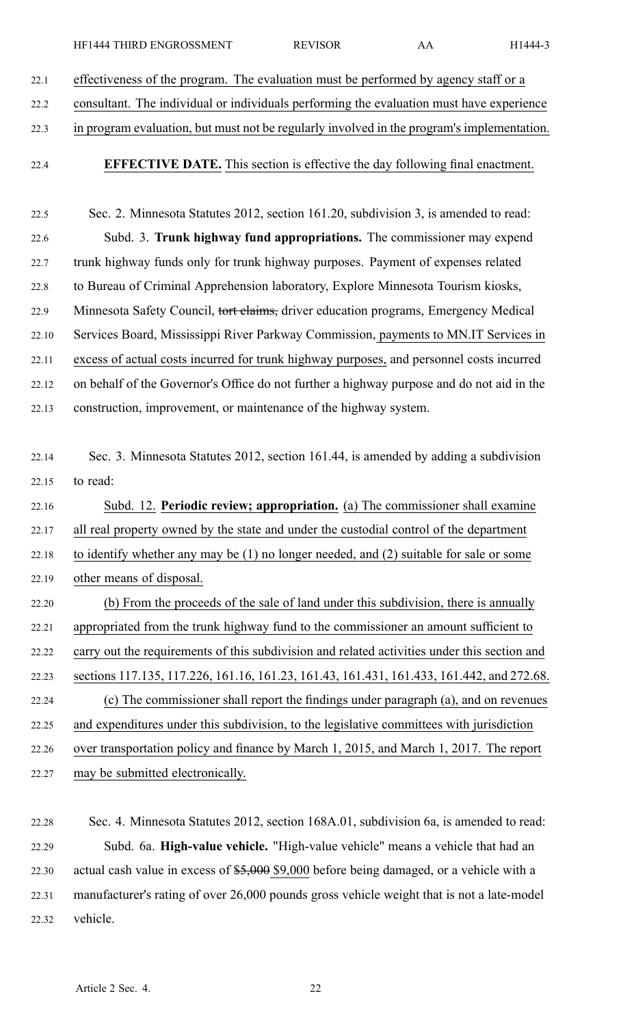| HF1444 THIRD ENGROSSMENT | <b>REVISOR</b> |  | H1444-3 |
|--------------------------|----------------|--|---------|
|--------------------------|----------------|--|---------|

22.1 effectiveness of the program. The evaluation must be performed by agency staff or <sup>a</sup>

22.2 consultant. The individual or individuals performing the evaluation must have experience

- 22.3 in program evaluation, but must not be regularly involved in the program's implementation.
- 22.4 **EFFECTIVE DATE.** This section is effective the day following final enactment.

22.5 Sec. 2. Minnesota Statutes 2012, section 161.20, subdivision 3, is amended to read: 22.6 Subd. 3. **Trunk highway fund appropriations.** The commissioner may expend 22.7 trunk highway funds only for trunk highway purposes. Payment of expenses related 22.8 to Bureau of Criminal Apprehension laboratory, Explore Minnesota Tourism kiosks, 22.9 Minnesota Safety Council, tort claims, driver education programs, Emergency Medical 22.10 Services Board, Mississippi River Parkway Commission, payments to MN.IT Services in 22.11 excess of actual costs incurred for trunk highway purposes, and personnel costs incurred 22.12 on behalf of the Governor's Office do not further <sup>a</sup> highway purpose and do not aid in the 22.13 construction, improvement, or maintenance of the highway system.

22.14 Sec. 3. Minnesota Statutes 2012, section 161.44, is amended by adding <sup>a</sup> subdivision 22.15 to read:

22.16 Subd. 12. **Periodic review; appropriation.** (a) The commissioner shall examine 22.17 all real property owned by the state and under the custodial control of the department 22.18 to identify whether any may be (1) no longer needed, and (2) suitable for sale or some 22.19 other means of disposal. 22.20 (b) From the proceeds of the sale of land under this subdivision, there is annually 22.21 appropriated from the trunk highway fund to the commissioner an amount sufficient to

- 22.22 carry out the requirements of this subdivision and related activities under this section and 22.23 sections 117.135, 117.226, 161.16, 161.23, 161.43, 161.431, 161.433, 161.442, and 272.68. 22.24 (c) The commissioner shall repor<sup>t</sup> the findings under paragraph (a), and on revenues 22.25 and expenditures under this subdivision, to the legislative committees with jurisdiction 22.26 over transportation policy and finance by March 1, 2015, and March 1, 2017. The repor<sup>t</sup> 22.27 may be submitted electronically.
- 22.28 Sec. 4. Minnesota Statutes 2012, section 168A.01, subdivision 6a, is amended to read: 22.29 Subd. 6a. **High-value vehicle.** "High-value vehicle" means <sup>a</sup> vehicle that had an 22.30 actual cash value in excess of \$5,000 \$9,000 before being damaged, or <sup>a</sup> vehicle with <sup>a</sup> 22.31 manufacturer's rating of over 26,000 pounds gross vehicle weight that is not <sup>a</sup> late-model 22.32 vehicle.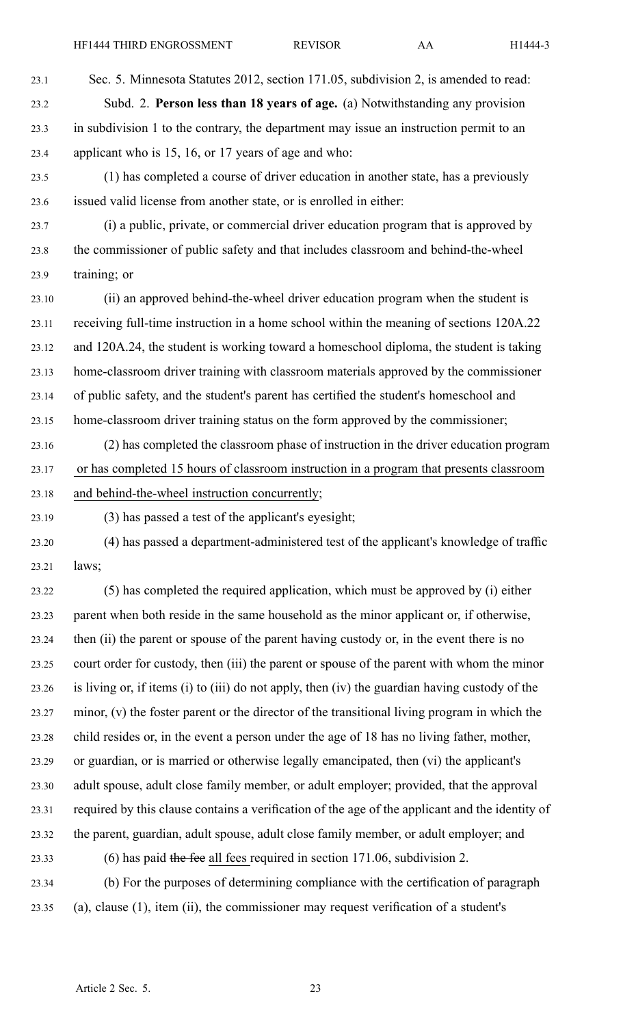23.1 Sec. 5. Minnesota Statutes 2012, section 171.05, subdivision 2, is amended to read: 23.2 Subd. 2. **Person less than 18 years of age.** (a) Notwithstanding any provision 23.3 in subdivision 1 to the contrary, the department may issue an instruction permit to an 23.4 applicant who is 15, 16, or 17 years of age and who:

23.5 (1) has completed <sup>a</sup> course of driver education in another state, has <sup>a</sup> previously 23.6 issued valid license from another state, or is enrolled in either:

23.7 (i) <sup>a</sup> public, private, or commercial driver education program that is approved by 23.8 the commissioner of public safety and that includes classroom and behind-the-wheel 23.9 training; or

23.10 (ii) an approved behind-the-wheel driver education program when the student is 23.11 receiving full-time instruction in <sup>a</sup> home school within the meaning of sections 120A.22 23.12 and 120A.24, the student is working toward <sup>a</sup> homeschool diploma, the student is taking 23.13 home-classroom driver training with classroom materials approved by the commissioner 23.14 of public safety, and the student's paren<sup>t</sup> has certified the student's homeschool and 23.15 home-classroom driver training status on the form approved by the commissioner;

23.16 (2) has completed the classroom phase of instruction in the driver education program 23.17 or has completed 15 hours of classroom instruction in <sup>a</sup> program that presents classroom 23.18 and behind-the-wheel instruction concurrently;

23.19 (3) has passed <sup>a</sup> test of the applicant's eyesight;

23.20 (4) has passed <sup>a</sup> department-administered test of the applicant's knowledge of traffic 23.21 laws;

23.22 (5) has completed the required application, which must be approved by (i) either 23.23 paren<sup>t</sup> when both reside in the same household as the minor applicant or, if otherwise, 23.24 then (ii) the paren<sup>t</sup> or spouse of the paren<sup>t</sup> having custody or, in the event there is no 23.25 court order for custody, then (iii) the paren<sup>t</sup> or spouse of the paren<sup>t</sup> with whom the minor 23.26 is living or, if items (i) to (iii) do not apply, then (iv) the guardian having custody of the 23.27 minor, (v) the foster paren<sup>t</sup> or the director of the transitional living program in which the 23.28 child resides or, in the event <sup>a</sup> person under the age of 18 has no living father, mother, 23.29 or guardian, or is married or otherwise legally emancipated, then (vi) the applicant's 23.30 adult spouse, adult close family member, or adult employer; provided, that the approval 23.31 required by this clause contains <sup>a</sup> verification of the age of the applicant and the identity of 23.32 the parent, guardian, adult spouse, adult close family member, or adult employer; and 23.33 (6) has paid the fee all fees required in section 171.06, subdivision 2.

23.34 (b) For the purposes of determining compliance with the certification of paragraph 23.35 (a), clause (1), item (ii), the commissioner may reques<sup>t</sup> verification of <sup>a</sup> student's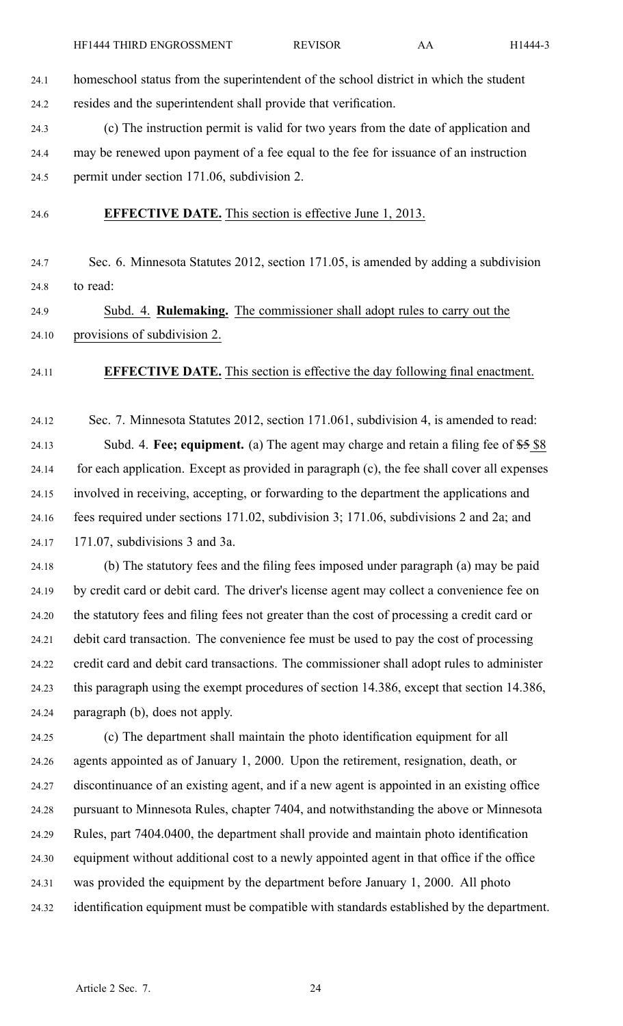24.1 homeschool status from the superintendent of the school district in which the student 24.2 resides and the superintendent shall provide that verification.

24.3 (c) The instruction permit is valid for two years from the date of application and 24.4 may be renewed upon paymen<sup>t</sup> of <sup>a</sup> fee equal to the fee for issuance of an instruction 24.5 permit under section 171.06, subdivision 2.

24.6 **EFFECTIVE DATE.** This section is effective June 1, 2013.

24.7 Sec. 6. Minnesota Statutes 2012, section 171.05, is amended by adding <sup>a</sup> subdivision 24.8 to read:

24.9 Subd. 4. **Rulemaking.** The commissioner shall adopt rules to carry out the 24.10 provisions of subdivision 2.

24.11 **EFFECTIVE DATE.** This section is effective the day following final enactment.

24.12 Sec. 7. Minnesota Statutes 2012, section 171.061, subdivision 4, is amended to read: 24.13 Subd. 4. **Fee; equipment.** (a) The agen<sup>t</sup> may charge and retain <sup>a</sup> filing fee of \$5 \$8 24.14 for each application. Except as provided in paragraph (c), the fee shall cover all expenses 24.15 involved in receiving, accepting, or forwarding to the department the applications and 24.16 fees required under sections 171.02, subdivision 3; 171.06, subdivisions 2 and 2a; and 24.17 171.07, subdivisions 3 and 3a.

24.18 (b) The statutory fees and the filing fees imposed under paragraph (a) may be paid 24.19 by credit card or debit card. The driver's license agen<sup>t</sup> may collect <sup>a</sup> convenience fee on 24.20 the statutory fees and filing fees not greater than the cost of processing <sup>a</sup> credit card or 24.21 debit card transaction. The convenience fee must be used to pay the cost of processing 24.22 credit card and debit card transactions. The commissioner shall adopt rules to administer 24.23 this paragraph using the exemp<sup>t</sup> procedures of section 14.386, excep<sup>t</sup> that section 14.386, 24.24 paragraph (b), does not apply.

24.25 (c) The department shall maintain the photo identification equipment for all 24.26 agents appointed as of January 1, 2000. Upon the retirement, resignation, death, or 24.27 discontinuance of an existing agent, and if <sup>a</sup> new agen<sup>t</sup> is appointed in an existing office 24.28 pursuan<sup>t</sup> to Minnesota Rules, chapter 7404, and notwithstanding the above or Minnesota 24.29 Rules, par<sup>t</sup> 7404.0400, the department shall provide and maintain photo identification 24.30 equipment without additional cost to <sup>a</sup> newly appointed agen<sup>t</sup> in that office if the office 24.31 was provided the equipment by the department before January 1, 2000. All photo 24.32 identification equipment must be compatible with standards established by the department.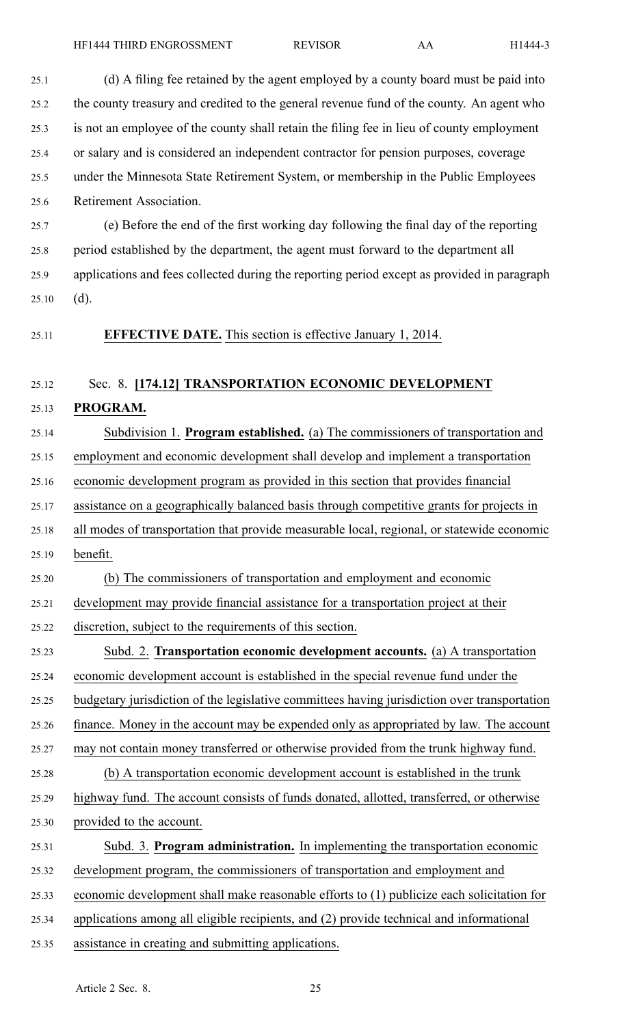25.1 (d) A filing fee retained by the agen<sup>t</sup> employed by <sup>a</sup> county board must be paid into 25.2 the county treasury and credited to the general revenue fund of the county. An agen<sup>t</sup> who 25.3 is not an employee of the county shall retain the filing fee in lieu of county employment 25.4 or salary and is considered an independent contractor for pension purposes, coverage 25.5 under the Minnesota State Retirement System, or membership in the Public Employees 25.6 Retirement Association. 25.7 (e) Before the end of the first working day following the final day of the reporting 25.8 period established by the department, the agen<sup>t</sup> must forward to the department all 25.9 applications and fees collected during the reporting period excep<sup>t</sup> as provided in paragraph  $25.10$  (d). 25.11 **EFFECTIVE DATE.** This section is effective January 1, 2014. 25.12 Sec. 8. **[174.12] TRANSPORTATION ECONOMIC DEVELOPMENT** 25.13 **PROGRAM.** 25.14 Subdivision 1. **Program established.** (a) The commissioners of transportation and 25.15 employment and economic development shall develop and implement <sup>a</sup> transportation 25.16 economic development program as provided in this section that provides financial 25.17 assistance on <sup>a</sup> geographically balanced basis through competitive grants for projects in 25.18 all modes of transportation that provide measurable local, regional, or statewide economic 25.19 benefit. 25.20 (b) The commissioners of transportation and employment and economic 25.21 development may provide financial assistance for <sup>a</sup> transportation project at their 25.22 discretion, subject to the requirements of this section. 25.23 Subd. 2. **Transportation economic development accounts.** (a) A transportation 25.24 economic development account is established in the special revenue fund under the 25.25 budgetary jurisdiction of the legislative committees having jurisdiction over transportation 25.26 finance. Money in the account may be expended only as appropriated by law. The account 25.27 may not contain money transferred or otherwise provided from the trunk highway fund. 25.28 (b) A transportation economic development account is established in the trunk 25.29 highway fund. The account consists of funds donated, allotted, transferred, or otherwise 25.30 provided to the account. 25.31 Subd. 3. **Program administration.** In implementing the transportation economic 25.32 development program, the commissioners of transportation and employment and 25.33 economic development shall make reasonable efforts to (1) publicize each solicitation for 25.34 applications among all eligible recipients, and (2) provide technical and informational 25.35 assistance in creating and submitting applications.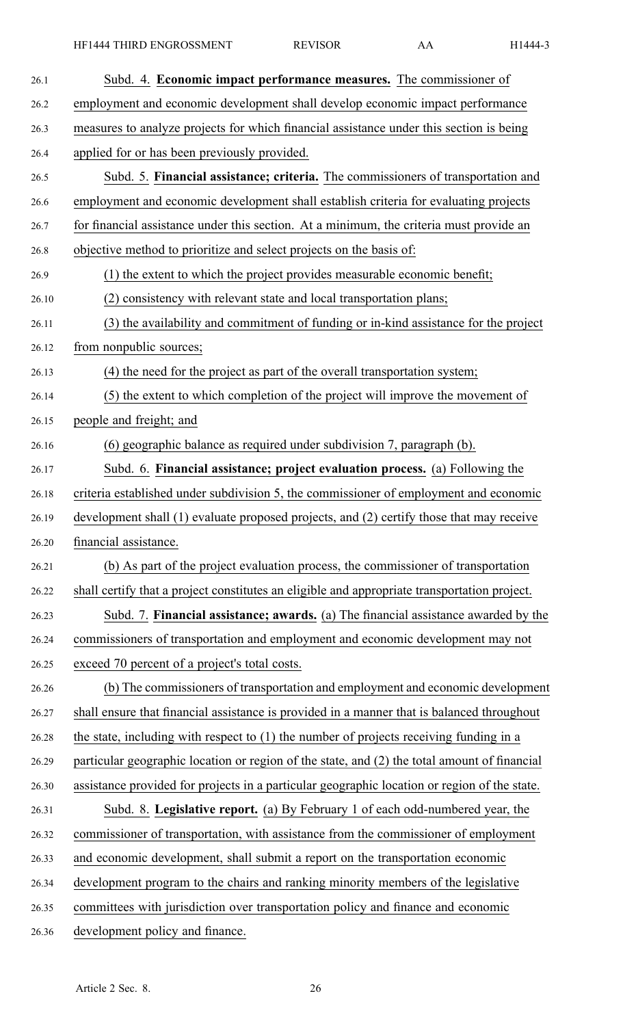| 26.1  | Subd. 4. Economic impact performance measures. The commissioner of                           |
|-------|----------------------------------------------------------------------------------------------|
| 26.2  | employment and economic development shall develop economic impact performance                |
| 26.3  | measures to analyze projects for which financial assistance under this section is being      |
| 26.4  | applied for or has been previously provided.                                                 |
| 26.5  | Subd. 5. Financial assistance; criteria. The commissioners of transportation and             |
| 26.6  | employment and economic development shall establish criteria for evaluating projects         |
| 26.7  | for financial assistance under this section. At a minimum, the criteria must provide an      |
| 26.8  | objective method to prioritize and select projects on the basis of:                          |
| 26.9  | (1) the extent to which the project provides measurable economic benefit;                    |
| 26.10 | (2) consistency with relevant state and local transportation plans;                          |
| 26.11 | (3) the availability and commitment of funding or in-kind assistance for the project         |
| 26.12 | from nonpublic sources;                                                                      |
| 26.13 | (4) the need for the project as part of the overall transportation system;                   |
| 26.14 | (5) the extent to which completion of the project will improve the movement of               |
| 26.15 | people and freight; and                                                                      |
| 26.16 | (6) geographic balance as required under subdivision 7, paragraph (b).                       |
| 26.17 | Subd. 6. Financial assistance; project evaluation process. (a) Following the                 |
| 26.18 | criteria established under subdivision 5, the commissioner of employment and economic        |
| 26.19 | development shall (1) evaluate proposed projects, and (2) certify those that may receive     |
| 26.20 | financial assistance.                                                                        |
| 26.21 | (b) As part of the project evaluation process, the commissioner of transportation            |
| 26.22 | shall certify that a project constitutes an eligible and appropriate transportation project. |
| 26.23 | Subd. 7. Financial assistance; awards. (a) The financial assistance awarded by the           |
| 26.24 | commissioners of transportation and employment and economic development may not              |
| 26.25 | exceed 70 percent of a project's total costs.                                                |
| 26.26 | (b) The commissioners of transportation and employment and economic development              |
| 26.27 | shall ensure that financial assistance is provided in a manner that is balanced throughout   |
| 26.28 | the state, including with respect to $(1)$ the number of projects receiving funding in a     |
| 26.29 | particular geographic location or region of the state, and (2) the total amount of financial |
| 26.30 | assistance provided for projects in a particular geographic location or region of the state. |
| 26.31 | Subd. 8. Legislative report. (a) By February 1 of each odd-numbered year, the                |
| 26.32 | commissioner of transportation, with assistance from the commissioner of employment          |
| 26.33 | and economic development, shall submit a report on the transportation economic               |
| 26.34 | development program to the chairs and ranking minority members of the legislative            |
| 26.35 | committees with jurisdiction over transportation policy and finance and economic             |
| 26.36 | development policy and finance.                                                              |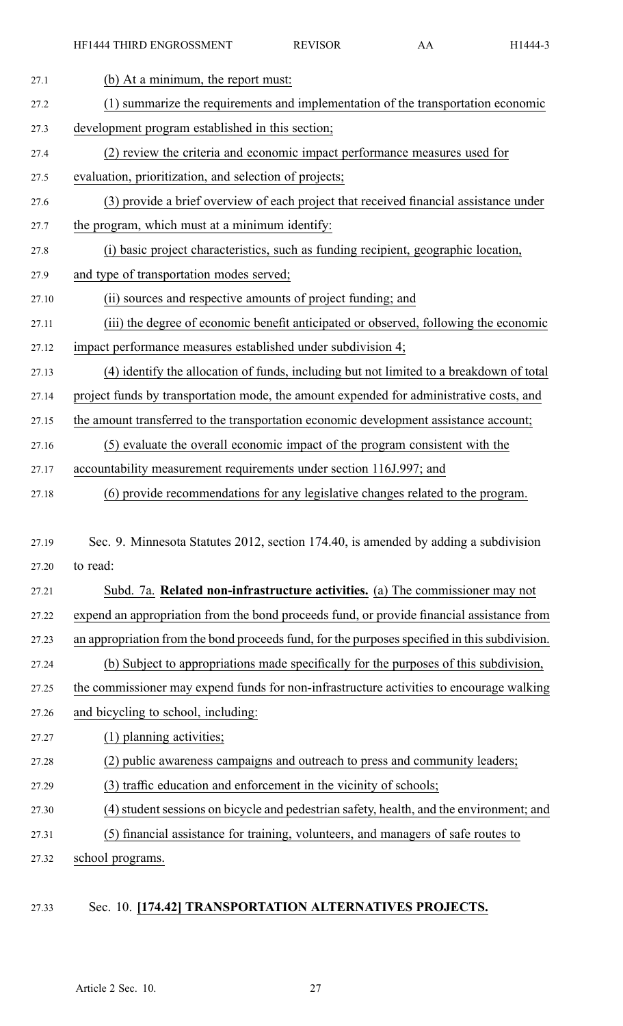| 27.1  | (b) At a minimum, the report must:                                                            |
|-------|-----------------------------------------------------------------------------------------------|
| 27.2  | (1) summarize the requirements and implementation of the transportation economic              |
| 27.3  | development program established in this section;                                              |
| 27.4  | (2) review the criteria and economic impact performance measures used for                     |
| 27.5  | evaluation, prioritization, and selection of projects;                                        |
| 27.6  | (3) provide a brief overview of each project that received financial assistance under         |
| 27.7  | the program, which must at a minimum identify:                                                |
| 27.8  | (i) basic project characteristics, such as funding recipient, geographic location,            |
| 27.9  | and type of transportation modes served;                                                      |
| 27.10 | (ii) sources and respective amounts of project funding; and                                   |
| 27.11 | (iii) the degree of economic benefit anticipated or observed, following the economic          |
| 27.12 | impact performance measures established under subdivision 4;                                  |
| 27.13 | (4) identify the allocation of funds, including but not limited to a breakdown of total       |
| 27.14 | project funds by transportation mode, the amount expended for administrative costs, and       |
| 27.15 | the amount transferred to the transportation economic development assistance account;         |
| 27.16 | (5) evaluate the overall economic impact of the program consistent with the                   |
| 27.17 | accountability measurement requirements under section 116J.997; and                           |
| 27.18 | (6) provide recommendations for any legislative changes related to the program.               |
|       |                                                                                               |
| 27.19 | Sec. 9. Minnesota Statutes 2012, section 174.40, is amended by adding a subdivision           |
| 27.20 | to read:                                                                                      |
| 27.21 | Subd. 7a. Related non-infrastructure activities. (a) The commissioner may not                 |
| 27.22 | expend an appropriation from the bond proceeds fund, or provide financial assistance from     |
| 27.23 | an appropriation from the bond proceeds fund, for the purposes specified in this subdivision. |
| 27.24 | (b) Subject to appropriations made specifically for the purposes of this subdivision,         |
| 27.25 | the commissioner may expend funds for non-infrastructure activities to encourage walking      |
| 27.26 | and bicycling to school, including:                                                           |
| 27.27 | (1) planning activities;                                                                      |
| 27.28 | (2) public awareness campaigns and outreach to press and community leaders;                   |
| 27.29 | (3) traffic education and enforcement in the vicinity of schools;                             |
| 27.30 | (4) student sessions on bicycle and pedestrian safety, health, and the environment; and       |
| 27.31 | (5) financial assistance for training, volunteers, and managers of safe routes to             |
| 27.32 | school programs.                                                                              |

## 27.33 Sec. 10. **[174.42] TRANSPORTATION ALTERNATIVES PROJECTS.**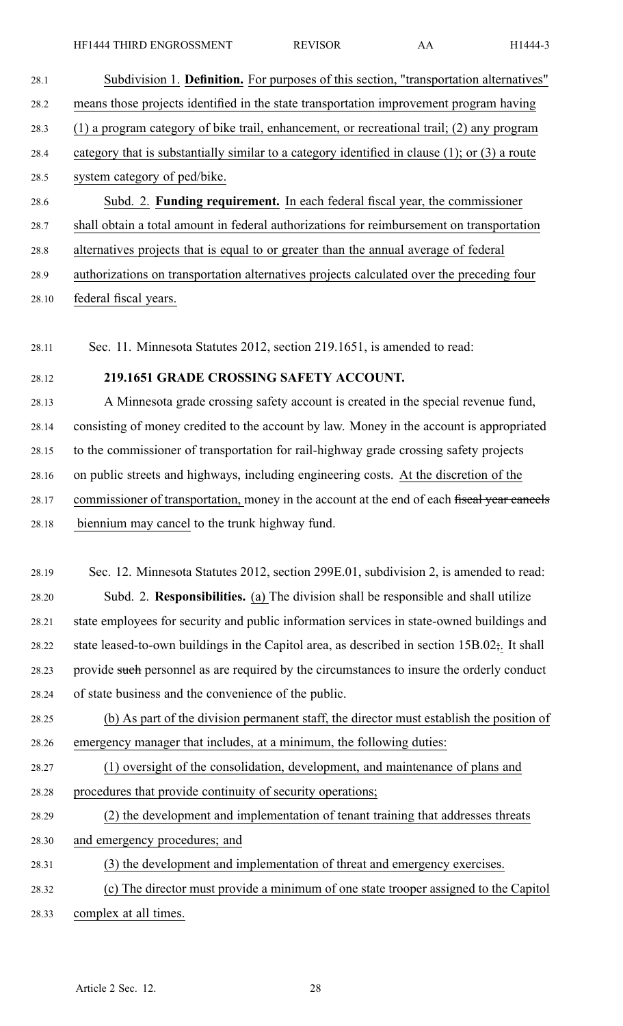28.1 Subdivision 1. **Definition.** For purposes of this section, "transportation alternatives" 28.2 means those projects identified in the state transportation improvement program having 28.3 (1) <sup>a</sup> program category of bike trail, enhancement, or recreational trail; (2) any program 28.4 category that is substantially similar to <sup>a</sup> category identified in clause (1); or (3) <sup>a</sup> route 28.5 system category of ped/bike. 28.6 Subd. 2. **Funding requirement.** In each federal fiscal year, the commissioner 28.7 shall obtain <sup>a</sup> total amount in federal authorizations for reimbursement on transportation 28.8 alternatives projects that is equal to or greater than the annual average of federal 28.9 authorizations on transportation alternatives projects calculated over the preceding four

28.10 federal fiscal years.

28.11 Sec. 11. Minnesota Statutes 2012, section 219.1651, is amended to read:

## 28.12 **219.1651 GRADE CROSSING SAFETY ACCOUNT.**

28.13 A Minnesota grade crossing safety account is created in the special revenue fund, 28.14 consisting of money credited to the account by law. Money in the account is appropriated 28.15 to the commissioner of transportation for rail-highway grade crossing safety projects 28.16 on public streets and highways, including engineering costs. At the discretion of the 28.17 commissioner of transportation, money in the account at the end of each fiscal year cancels 28.18 biennium may cancel to the trunk highway fund.

28.19 Sec. 12. Minnesota Statutes 2012, section 299E.01, subdivision 2, is amended to read: 28.20 Subd. 2. **Responsibilities.** (a) The division shall be responsible and shall utilize 28.21 state employees for security and public information services in state-owned buildings and 28.22 state leased-to-own buildings in the Capitol area, as described in section  $15B.02$ ;. It shall 28.23 provide such personnel as are required by the circumstances to insure the orderly conduct 28.24 of state business and the convenience of the public.

28.25 (b) As par<sup>t</sup> of the division permanen<sup>t</sup> staff, the director must establish the position of 28.26 emergency manager that includes, at <sup>a</sup> minimum, the following duties:

28.27 (1) oversight of the consolidation, development, and maintenance of plans and 28.28 procedures that provide continuity of security operations;

28.29 (2) the development and implementation of tenant training that addresses threats

28.30 and emergency procedures; and

28.31 (3) the development and implementation of threat and emergency exercises.

28.32 (c) The director must provide <sup>a</sup> minimum of one state trooper assigned to the Capitol 28.33 complex at all times.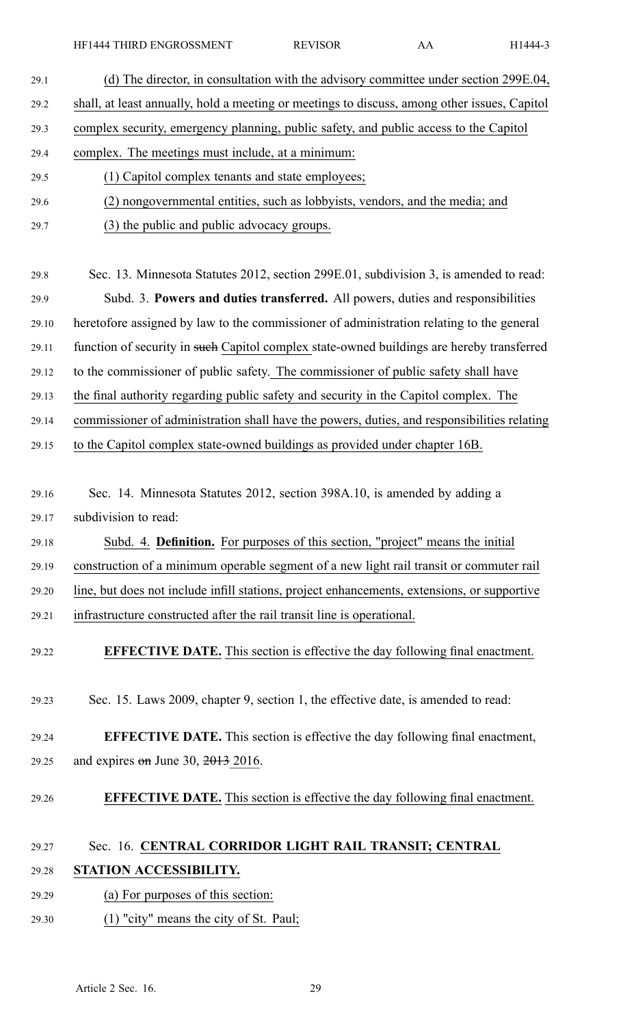HF1444 THIRD ENGROSSMENT REVISOR AA H1444-3

| 29.1  | (d) The director, in consultation with the advisory committee under section 299E.04,         |
|-------|----------------------------------------------------------------------------------------------|
| 29.2  | shall, at least annually, hold a meeting or meetings to discuss, among other issues, Capitol |
| 29.3  | complex security, emergency planning, public safety, and public access to the Capitol        |
| 29.4  | complex. The meetings must include, at a minimum:                                            |
| 29.5  | (1) Capitol complex tenants and state employees;                                             |
| 29.6  | (2) nongovernmental entities, such as lobbyists, vendors, and the media; and                 |
| 29.7  | (3) the public and public advocacy groups.                                                   |
|       |                                                                                              |
| 29.8  | Sec. 13. Minnesota Statutes 2012, section 299E.01, subdivision 3, is amended to read:        |
| 29.9  | Subd. 3. Powers and duties transferred. All powers, duties and responsibilities              |
| 29.10 | heretofore assigned by law to the commissioner of administration relating to the general     |
| 29.11 | function of security in such Capitol complex state-owned buildings are hereby transferred    |
| 29.12 | to the commissioner of public safety. The commissioner of public safety shall have           |
| 29.13 | the final authority regarding public safety and security in the Capitol complex. The         |
| 29.14 | commissioner of administration shall have the powers, duties, and responsibilities relating  |
| 29.15 | to the Capitol complex state-owned buildings as provided under chapter 16B.                  |
|       |                                                                                              |
| 29.16 | Sec. 14. Minnesota Statutes 2012, section 398A.10, is amended by adding a                    |
| 29.17 | subdivision to read:                                                                         |
| 29.18 | Subd. 4. Definition. For purposes of this section, "project" means the initial               |
| 29.19 | construction of a minimum operable segment of a new light rail transit or commuter rail      |
| 29.20 | line, but does not include infill stations, project enhancements, extensions, or supportive  |
| 29.21 | infrastructure constructed after the rail transit line is operational.                       |
| 29.22 | <b>EFFECTIVE DATE.</b> This section is effective the day following final enactment.          |
|       |                                                                                              |
| 29.23 | Sec. 15. Laws 2009, chapter 9, section 1, the effective date, is amended to read:            |
|       |                                                                                              |
| 29.24 | <b>EFFECTIVE DATE.</b> This section is effective the day following final enactment,          |
| 29.25 | and expires $\theta$ m June 30, 2013 2016.                                                   |
| 29.26 | <b>EFFECTIVE DATE.</b> This section is effective the day following final enactment.          |
|       |                                                                                              |
| 29.27 | Sec. 16. CENTRAL CORRIDOR LIGHT RAIL TRANSIT; CENTRAL                                        |
|       |                                                                                              |

## 29.28 **STATION ACCESSIBILITY.**

- 29.29 (a) For purposes of this section:
- 29.30 (1) "city" means the city of St. Paul;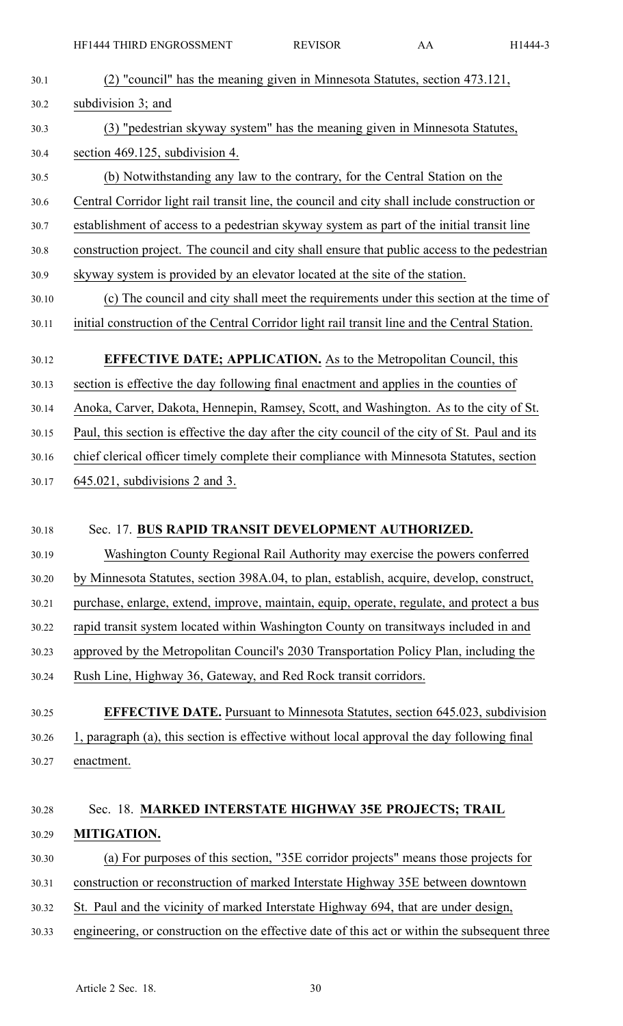| 30.1  | (2) "council" has the meaning given in Minnesota Statutes, section 473.121,                    |
|-------|------------------------------------------------------------------------------------------------|
| 30.2  | subdivision 3; and                                                                             |
| 30.3  | (3) "pedestrian skyway system" has the meaning given in Minnesota Statutes,                    |
| 30.4  | section 469.125, subdivision 4.                                                                |
| 30.5  | (b) Notwithstanding any law to the contrary, for the Central Station on the                    |
| 30.6  | Central Corridor light rail transit line, the council and city shall include construction or   |
| 30.7  | establishment of access to a pedestrian skyway system as part of the initial transit line      |
| 30.8  | construction project. The council and city shall ensure that public access to the pedestrian   |
| 30.9  | skyway system is provided by an elevator located at the site of the station.                   |
| 30.10 | (c) The council and city shall meet the requirements under this section at the time of         |
| 30.11 | initial construction of the Central Corridor light rail transit line and the Central Station.  |
| 30.12 | <b>EFFECTIVE DATE; APPLICATION.</b> As to the Metropolitan Council, this                       |
| 30.13 | section is effective the day following final enactment and applies in the counties of          |
| 30.14 | Anoka, Carver, Dakota, Hennepin, Ramsey, Scott, and Washington. As to the city of St.          |
| 30.15 | Paul, this section is effective the day after the city council of the city of St. Paul and its |
| 30.16 | chief clerical officer timely complete their compliance with Minnesota Statutes, section       |
| 30.17 | $645.021$ , subdivisions 2 and 3.                                                              |
|       |                                                                                                |
| 30.18 | Sec. 17. BUS RAPID TRANSIT DEVELOPMENT AUTHORIZED.                                             |
| 30.19 | Washington County Regional Rail Authority may exercise the powers conferred                    |
| 30.20 | by Minnesota Statutes, section 398A.04, to plan, establish, acquire, develop, construct,       |
| 30.21 | purchase, enlarge, extend, improve, maintain, equip, operate, regulate, and protect a bus      |
| 30.22 | rapid transit system located within Washington County on transit ways included in and          |
| 30.23 | approved by the Metropolitan Council's 2030 Transportation Policy Plan, including the          |
| 30.24 | Rush Line, Highway 36, Gateway, and Red Rock transit corridors.                                |
| 30.25 | <b>EFFECTIVE DATE.</b> Pursuant to Minnesota Statutes, section 645.023, subdivision            |
| 30.26 | 1, paragraph (a), this section is effective without local approval the day following final     |
| 30.27 | enactment.                                                                                     |
|       |                                                                                                |
| 30.28 | Sec. 18. MARKED INTERSTATE HIGHWAY 35E PROJECTS; TRAIL                                         |
| 30.29 | MITIGATION.                                                                                    |
| 30.30 | (a) For purposes of this section, "35E corridor projects" means those projects for             |
| 30.31 | construction or reconstruction of marked Interstate Highway 35E between downtown               |
| 30.32 | St. Paul and the vicinity of marked Interstate Highway 694, that are under design,             |
| 30.33 | engineering, or construction on the effective date of this act or within the subsequent three  |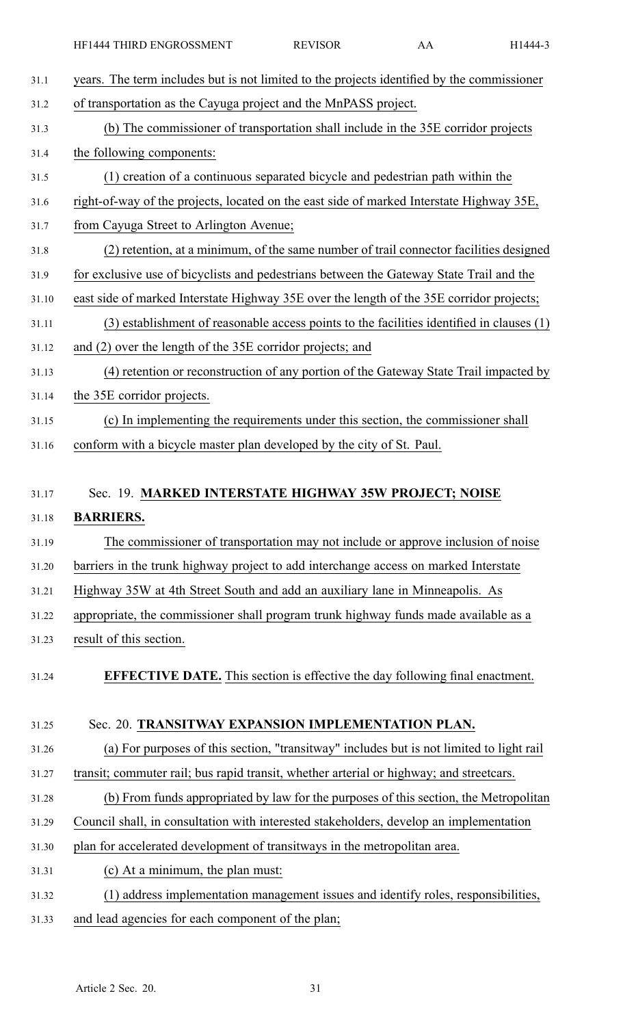| 31.1  | years. The term includes but is not limited to the projects identified by the commissioner |
|-------|--------------------------------------------------------------------------------------------|
| 31.2  | of transportation as the Cayuga project and the MnPASS project.                            |
| 31.3  | (b) The commissioner of transportation shall include in the 35E corridor projects          |
| 31.4  | the following components:                                                                  |
| 31.5  | (1) creation of a continuous separated bicycle and pedestrian path within the              |
| 31.6  | right-of-way of the projects, located on the east side of marked Interstate Highway 35E,   |
| 31.7  | from Cayuga Street to Arlington Avenue;                                                    |
| 31.8  | (2) retention, at a minimum, of the same number of trail connector facilities designed     |
| 31.9  | for exclusive use of bicyclists and pedestrians between the Gateway State Trail and the    |
| 31.10 | east side of marked Interstate Highway 35E over the length of the 35E corridor projects;   |
| 31.11 | (3) establishment of reasonable access points to the facilities identified in clauses (1)  |
| 31.12 | and (2) over the length of the 35E corridor projects; and                                  |
| 31.13 | (4) retention or reconstruction of any portion of the Gateway State Trail impacted by      |
| 31.14 | the 35E corridor projects.                                                                 |
| 31.15 | (c) In implementing the requirements under this section, the commissioner shall            |
| 31.16 | conform with a bicycle master plan developed by the city of St. Paul.                      |
|       |                                                                                            |
| 31.17 | Sec. 19. MARKED INTERSTATE HIGHWAY 35W PROJECT; NOISE                                      |
| 31.18 | <b>BARRIERS.</b>                                                                           |
| 31.19 | The commissioner of transportation may not include or approve inclusion of noise           |
| 31.20 | barriers in the trunk highway project to add interchange access on marked Interstate       |
| 31.21 | Highway 35W at 4th Street South and add an auxiliary lane in Minneapolis. As               |
| 31.22 | appropriate, the commissioner shall program trunk highway funds made available as a        |
| 31.23 | result of this section.                                                                    |
|       | <b>EFFECTIVE DATE.</b> This section is effective the day following final enactment.        |
| 31.24 |                                                                                            |
| 31.25 | Sec. 20. TRANSITWAY EXPANSION IMPLEMENTATION PLAN.                                         |
|       | (a) For purposes of this section, "transitway" includes but is not limited to light rail   |
| 31.26 | transit; commuter rail; bus rapid transit, whether arterial or highway; and streetcars.    |
| 31.27 | (b) From funds appropriated by law for the purposes of this section, the Metropolitan      |
| 31.28 | Council shall, in consultation with interested stakeholders, develop an implementation     |
| 31.29 |                                                                                            |
| 31.30 | plan for accelerated development of transitways in the metropolitan area.                  |
| 31.31 | (c) At a minimum, the plan must:                                                           |
| 31.32 | (1) address implementation management issues and identify roles, responsibilities,         |
| 31.33 | and lead agencies for each component of the plan;                                          |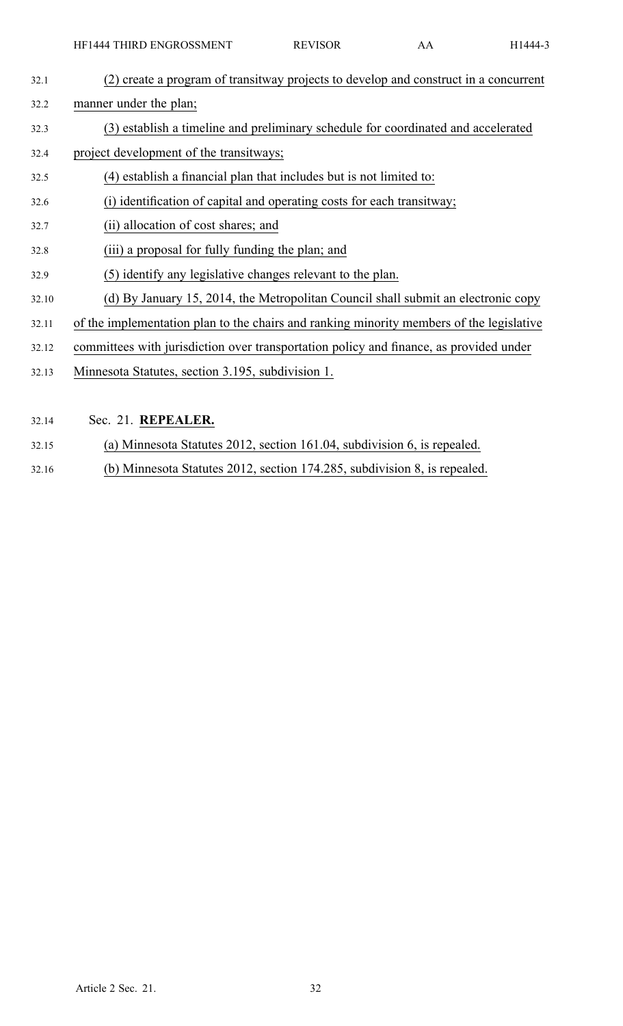| 32.1  | (2) create a program of transitway projects to develop and construct in a concurrent     |
|-------|------------------------------------------------------------------------------------------|
| 32.2  | manner under the plan;                                                                   |
| 32.3  | (3) establish a timeline and preliminary schedule for coordinated and accelerated        |
| 32.4  | project development of the transitways;                                                  |
| 32.5  | (4) establish a financial plan that includes but is not limited to:                      |
| 32.6  | (i) identification of capital and operating costs for each transitway;                   |
| 32.7  | (ii) allocation of cost shares; and                                                      |
| 32.8  | (iii) a proposal for fully funding the plan; and                                         |
| 32.9  | (5) identify any legislative changes relevant to the plan.                               |
| 32.10 | (d) By January 15, 2014, the Metropolitan Council shall submit an electronic copy        |
| 32.11 | of the implementation plan to the chairs and ranking minority members of the legislative |
| 32.12 | committees with jurisdiction over transportation policy and finance, as provided under   |
| 32.13 | Minnesota Statutes, section 3.195, subdivision 1.                                        |
|       |                                                                                          |
| 32.14 | Sec. 21. REPEALER.                                                                       |

- 32.15 (a) Minnesota Statutes 2012, section 161.04, subdivision 6, is repealed.
- 32.16 (b) Minnesota Statutes 2012, section 174.285, subdivision 8, is repealed.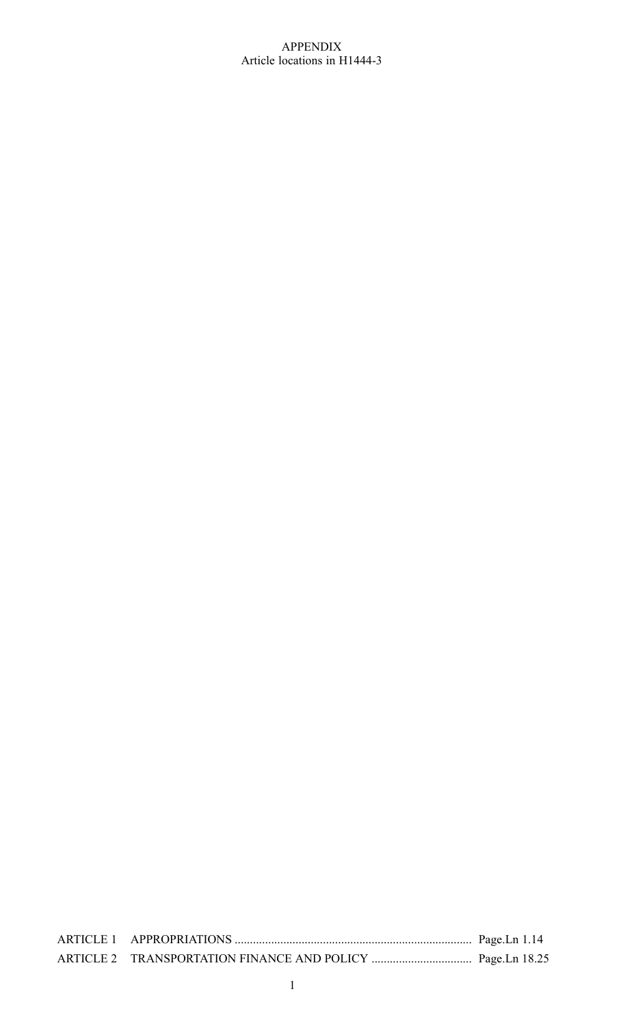#### APPENDIX Article locations in H1444-3